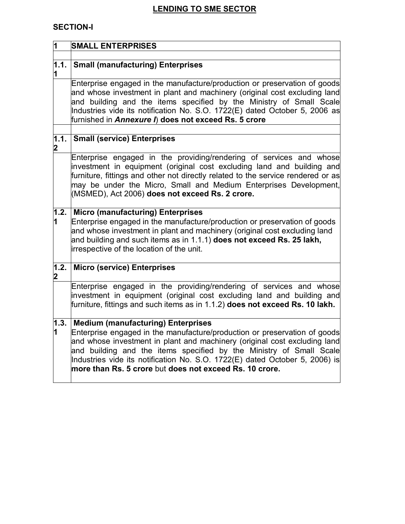# **LENDING TO SME SECTOR**

## **SECTION-I**

| $\overline{\mathbf{1}}$ | <b>SMALL ENTERPRISES</b>                                                                                                                                                                                                                                                                                                                                                                                             |
|-------------------------|----------------------------------------------------------------------------------------------------------------------------------------------------------------------------------------------------------------------------------------------------------------------------------------------------------------------------------------------------------------------------------------------------------------------|
|                         |                                                                                                                                                                                                                                                                                                                                                                                                                      |
| 1.1.<br>1               | <b>Small (manufacturing) Enterprises</b>                                                                                                                                                                                                                                                                                                                                                                             |
|                         | Enterprise engaged in the manufacture/production or preservation of goods<br>and whose investment in plant and machinery (original cost excluding land<br>and building and the items specified by the Ministry of Small Scale<br>Industries vide its notification No. S.O. 1722(E) dated October 5, 2006 as<br>furnished in Annexure I) does not exceed Rs. 5 crore                                                  |
| $\overline{1.1}$ .<br>2 | <b>Small (service) Enterprises</b>                                                                                                                                                                                                                                                                                                                                                                                   |
|                         | Enterprise engaged in the providing/rendering of services and whose<br>investment in equipment (original cost excluding land and building and<br>furniture, fittings and other not directly related to the service rendered or as<br>may be under the Micro, Small and Medium Enterprises Development,<br>(MSMED), Act 2006) does not exceed Rs. 2 crore.                                                            |
| 1.2.<br>1               | <b>Micro (manufacturing) Enterprises</b><br>Enterprise engaged in the manufacture/production or preservation of goods<br>and whose investment in plant and machinery (original cost excluding land<br>and building and such items as in 1.1.1) does not exceed Rs. 25 lakh,<br>irrespective of the location of the unit.                                                                                             |
| 1.2.<br>2               | <b>Micro (service) Enterprises</b>                                                                                                                                                                                                                                                                                                                                                                                   |
|                         | Enterprise engaged in the providing/rendering of services and whose<br>investment in equipment (original cost excluding land and building and<br>furniture, fittings and such items as in 1.1.2) does not exceed Rs. 10 lakh.                                                                                                                                                                                        |
| 1.3.<br>1               | <b>Medium (manufacturing) Enterprises</b><br>Enterprise engaged in the manufacture/production or preservation of goods<br>and whose investment in plant and machinery (original cost excluding land<br>and building and the items specified by the Ministry of Small Scale<br>Industries vide its notification No. S.O. 1722(E) dated October 5, 2006) is<br>more than Rs. 5 crore but does not exceed Rs. 10 crore. |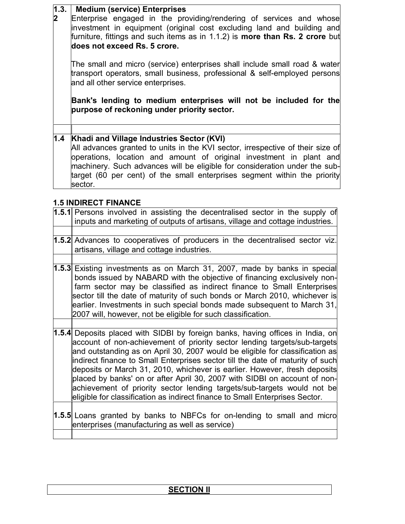#### **1.3. Medium (service) Enterprises**

**2**

Enterprise engaged in the providing/rendering of services and whose investment in equipment (original cost excluding land and building and furniture, fittings and such items as in 1.1.2) is **more than Rs. 2 crore** but **does not exceed Rs. 5 crore.**

The small and micro (service) enterprises shall include small road & water transport operators, small business, professional & self-employed persons and all other service enterprises.

**Bank's lending to medium enterprises will not be included for the purpose of reckoning under priority sector.**

# **1.4 Khadi and Village Industries Sector (KVI)**

All advances granted to units in the KVI sector, irrespective of their size of operations, location and amount of original investment in plant and machinery. Such advances will be eligible for consideration under the subtarget (60 per cent) of the small enterprises segment within the priority sector.

## **1.5 INDIRECT FINANCE**

| 1.5.1 Persons involved in assisting the decentralised sector in the supply of<br>inputs and marketing of outputs of artisans, village and cottage industries.                                                                                                                                                                                                                                                                                                                                                                                                                                                                                      |
|----------------------------------------------------------------------------------------------------------------------------------------------------------------------------------------------------------------------------------------------------------------------------------------------------------------------------------------------------------------------------------------------------------------------------------------------------------------------------------------------------------------------------------------------------------------------------------------------------------------------------------------------------|
| 1.5.2 Advances to cooperatives of producers in the decentralised sector viz.<br>artisans, village and cottage industries.                                                                                                                                                                                                                                                                                                                                                                                                                                                                                                                          |
| 1.5.3 Existing investments as on March 31, 2007, made by banks in special<br>bonds issued by NABARD with the objective of financing exclusively non-<br>farm sector may be classified as indirect finance to Small Enterprises<br>sector till the date of maturity of such bonds or March 2010, whichever is<br>earlier. Investments in such special bonds made subsequent to March 31,<br>2007 will, however, not be eligible for such classification.                                                                                                                                                                                            |
| 1.5.4 Deposits placed with SIDBI by foreign banks, having offices in India, on<br>account of non-achievement of priority sector lending targets/sub-targets<br>and outstanding as on April 30, 2007 would be eligible for classification as<br>indirect finance to Small Enterprises sector till the date of maturity of such<br>deposits or March 31, 2010, whichever is earlier. However, fresh deposits<br>placed by banks' on or after April 30, 2007 with SIDBI on account of non-<br>achievement of priority sector lending targets/sub-targets would not be<br>eligible for classification as indirect finance to Small Enterprises Sector. |
| 1.5.5 Loans granted by banks to NBFCs for on-lending to small and micro<br>enterprises (manufacturing as well as service)                                                                                                                                                                                                                                                                                                                                                                                                                                                                                                                          |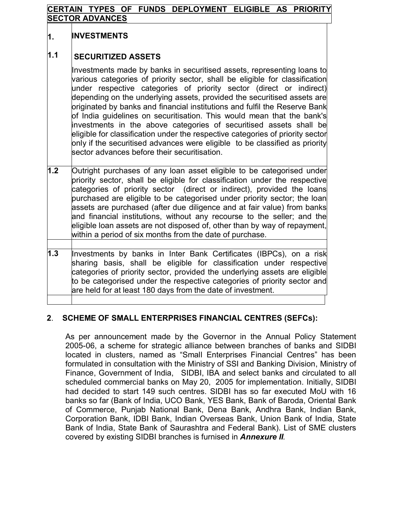#### **CERTAIN TYPES OF FUNDS DEPLOYMENT ELIGIBLE AS PRIORITY SECTOR ADVANCES**

#### **1. INVESTMENTS**

#### **1.1 SECURITIZED ASSETS**

Investments made by banks in securitised assets, representing loans to various categories of priority sector, shall be eligible for classification under respective categories of priority sector (direct or indirect) depending on the underlying assets, provided the securitised assets are originated by banks and financial institutions and fulfil the Reserve Bank of India guidelines on securitisation. This would mean that the bank's investments in the above categories of securitised assets shall be eligible for classification under the respective categories of priority sector only if the securitised advances were eligible to be classified as priority sector advances before their securitisation.

- **1.2** Outright purchases of any loan asset eligible to be categorised under priority sector, shall be eligible for classification under the respective categories of priority sector (direct or indirect), provided the loans purchased are eligible to be categorised under priority sector; the loan assets are purchased (after due diligence and at fair value) from banks and financial institutions, without any recourse to the seller; and the eligible loan assets are not disposed of, other than by way of repayment, within a period of six months from the date of purchase.
- **1.3** Investments by banks in Inter Bank Certificates (IBPCs), on a risk sharing basis, shall be eligible for classification under respective categories of priority sector, provided the underlying assets are eligible to be categorised under the respective categories of priority sector and are held for at least 180 days from the date of investment.

### **2**. **SCHEME OF SMALL ENTERPRISES FINANCIAL CENTRES (SEFCs):**

As per announcement made by the Governor in the Annual Policy Statement 2005-06, a scheme for strategic alliance between branches of banks and SIDBI located in clusters, named as "Small Enterprises Financial Centres" has been formulated in consultation with the Ministry of SSI and Banking Division, Ministry of Finance, Government of India, SIDBI, IBA and select banks and circulated to all scheduled commercial banks on May 20, 2005 for implementation. Initially, SIDBI had decided to start 149 such centres. SIDBI has so far executed MoU with 16 banks so far (Bank of India, UCO Bank, YES Bank, Bank of Baroda, Oriental Bank of Commerce, Punjab National Bank, Dena Bank, Andhra Bank, Indian Bank, Corporation Bank, IDBI Bank, Indian Overseas Bank, Union Bank of India, State Bank of India, State Bank of Saurashtra and Federal Bank). List of SME clusters covered by existing SIDBI branches is furnised in *Annexure II.*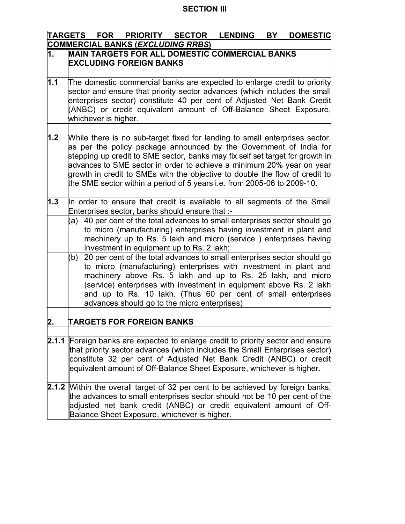# **SECTION III**

|                                                                                                                                                                                                                                                                                                                            | TARGETS FOR PRIORITY SECTOR<br><b>LENDING</b><br><b>DOMESTIC</b><br>BY                                                                                                                                                                                                                                                                                                                                                                                                |  |  |  |  |  |
|----------------------------------------------------------------------------------------------------------------------------------------------------------------------------------------------------------------------------------------------------------------------------------------------------------------------------|-----------------------------------------------------------------------------------------------------------------------------------------------------------------------------------------------------------------------------------------------------------------------------------------------------------------------------------------------------------------------------------------------------------------------------------------------------------------------|--|--|--|--|--|
|                                                                                                                                                                                                                                                                                                                            | <b>COMMERCIAL BANKS (EXCLUDING RRBS)</b>                                                                                                                                                                                                                                                                                                                                                                                                                              |  |  |  |  |  |
| 1.                                                                                                                                                                                                                                                                                                                         | <b>MAIN TARGETS FOR ALL DOMESTIC COMMERCIAL BANKS</b><br><b>EXCLUDING FOREIGN BANKS</b>                                                                                                                                                                                                                                                                                                                                                                               |  |  |  |  |  |
|                                                                                                                                                                                                                                                                                                                            |                                                                                                                                                                                                                                                                                                                                                                                                                                                                       |  |  |  |  |  |
| 1.1                                                                                                                                                                                                                                                                                                                        | The domestic commercial banks are expected to enlarge credit to priority<br>sector and ensure that priority sector advances (which includes the small<br>enterprises sector) constitute 40 per cent of Adjusted Net Bank Credit<br>(ANBC) or credit equivalent amount of Off-Balance Sheet Exposure,<br>whichever is higher.                                                                                                                                          |  |  |  |  |  |
|                                                                                                                                                                                                                                                                                                                            |                                                                                                                                                                                                                                                                                                                                                                                                                                                                       |  |  |  |  |  |
| 1.2                                                                                                                                                                                                                                                                                                                        | While there is no sub-target fixed for lending to small enterprises sector,<br>as per the policy package announced by the Government of India for<br>stepping up credit to SME sector, banks may fix self set target for growth in<br>advances to SME sector in order to achieve a minimum 20% year on year<br>growth in credit to SMEs with the objective to double the flow of credit to<br>the SME sector within a period of 5 years i.e. from 2005-06 to 2009-10. |  |  |  |  |  |
| 1.3                                                                                                                                                                                                                                                                                                                        | In order to ensure that credit is available to all segments of the Small                                                                                                                                                                                                                                                                                                                                                                                              |  |  |  |  |  |
| Enterprises sector, banks should ensure that :-<br>(a) $ 40$ per cent of the total advances to small enterprises sector should go<br>to micro (manufacturing) enterprises having investment in plant and<br>machinery up to Rs. 5 lakh and micro (service) enterprises having<br>investment in equipment up to Rs. 2 lakh; |                                                                                                                                                                                                                                                                                                                                                                                                                                                                       |  |  |  |  |  |
|                                                                                                                                                                                                                                                                                                                            | 20 per cent of the total advances to small enterprises sector should go<br>(b)<br>to micro (manufacturing) enterprises with investment in plant and<br>machinery above Rs. 5 lakh and up to Rs. 25 lakh, and micro<br>(service) enterprises with investment in equipment above Rs. 2 lakh<br>and up to Rs. 10 lakh. (Thus 60 per cent of small enterprises<br>advances should go to the micro enterprises)                                                            |  |  |  |  |  |
| 2.                                                                                                                                                                                                                                                                                                                         | <b>TARGETS FOR FOREIGN BANKS</b>                                                                                                                                                                                                                                                                                                                                                                                                                                      |  |  |  |  |  |
|                                                                                                                                                                                                                                                                                                                            |                                                                                                                                                                                                                                                                                                                                                                                                                                                                       |  |  |  |  |  |
|                                                                                                                                                                                                                                                                                                                            | 2.1.1 Foreign banks are expected to enlarge credit to priority sector and ensure<br>that priority sector advances (which includes the Small Enterprises sector)<br>constitute 32 per cent of Adjusted Net Bank Credit (ANBC) or credit<br>equivalent amount of Off-Balance Sheet Exposure, whichever is higher.                                                                                                                                                       |  |  |  |  |  |
|                                                                                                                                                                                                                                                                                                                            | <b>2.1.2</b> Within the overall target of 32 per cent to be achieved by foreign banks,<br>the advances to small enterprises sector should not be 10 per cent of the<br>adjusted net bank credit (ANBC) or credit equivalent amount of Off-<br>Balance Sheet Exposure, whichever is higher.                                                                                                                                                                            |  |  |  |  |  |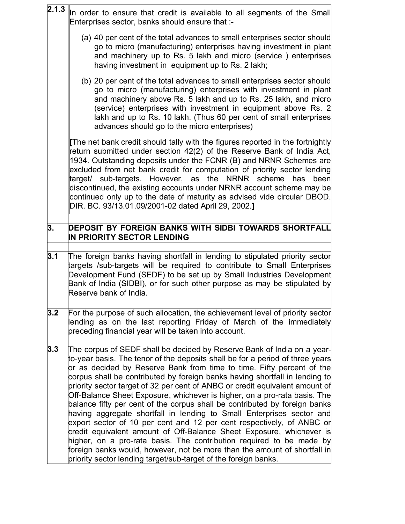| 2.1.3 | In order to ensure that credit is available to all segments of the Small<br>Enterprises sector, banks should ensure that :-                                                                                                                                                                                                                                                                                                                                                                                                                                                                                                                                                                                                                                                                                                                                   |
|-------|---------------------------------------------------------------------------------------------------------------------------------------------------------------------------------------------------------------------------------------------------------------------------------------------------------------------------------------------------------------------------------------------------------------------------------------------------------------------------------------------------------------------------------------------------------------------------------------------------------------------------------------------------------------------------------------------------------------------------------------------------------------------------------------------------------------------------------------------------------------|
|       | (a) 40 per cent of the total advances to small enterprises sector should<br>go to micro (manufacturing) enterprises having investment in plant<br>and machinery up to Rs. 5 lakh and micro (service) enterprises<br>having investment in equipment up to Rs. 2 lakh;                                                                                                                                                                                                                                                                                                                                                                                                                                                                                                                                                                                          |
|       | (b) 20 per cent of the total advances to small enterprises sector should<br>go to micro (manufacturing) enterprises with investment in plant<br>and machinery above Rs. 5 lakh and up to Rs. 25 lakh, and micro<br>(service) enterprises with investment in equipment above Rs. 2<br>lakh and up to Rs. 10 lakh. (Thus 60 per cent of small enterprises<br>advances should go to the micro enterprises)                                                                                                                                                                                                                                                                                                                                                                                                                                                       |
|       | The net bank credit should tally with the figures reported in the fortnightly<br>return submitted under section 42(2) of the Reserve Bank of India Act,<br>1934. Outstanding deposits under the FCNR (B) and NRNR Schemes are<br>excluded from net bank credit for computation of priority sector lending<br>target/ sub-targets. However, as the NRNR scheme has been<br>discontinued, the existing accounts under NRNR account scheme may be<br>continued only up to the date of maturity as advised vide circular DBOD.<br>DIR. BC. 93/13.01.09/2001-02 dated April 29, 2002.]                                                                                                                                                                                                                                                                             |
| 3.    | DEPOSIT BY FOREIGN BANKS WITH SIDBI TOWARDS SHORTFALL<br>IN PRIORITY SECTOR LENDING                                                                                                                                                                                                                                                                                                                                                                                                                                                                                                                                                                                                                                                                                                                                                                           |
| 3.1   | The foreign banks having shortfall in lending to stipulated priority sector<br>targets /sub-targets will be required to contribute to Small Enterprises<br>Development Fund (SEDF) to be set up by Small Industries Development<br>Bank of India (SIDBI), or for such other purpose as may be stipulated by<br>Reserve bank of India.                                                                                                                                                                                                                                                                                                                                                                                                                                                                                                                         |
| 3.2   | For the purpose of such allocation, the achievement level of priority sector<br>lending as on the last reporting Friday of March of the immediately<br>preceding financial year will be taken into account.                                                                                                                                                                                                                                                                                                                                                                                                                                                                                                                                                                                                                                                   |
| 3.3   | The corpus of SEDF shall be decided by Reserve Bank of India on a year-<br>to-year basis. The tenor of the deposits shall be for a period of three years<br>or as decided by Reserve Bank from time to time. Fifty percent of the<br>corpus shall be contributed by foreign banks having shortfall in lending to<br>priority sector target of 32 per cent of ANBC or credit equivalent amount of<br>Off-Balance Sheet Exposure, whichever is higher, on a pro-rata basis. The<br>balance fifty per cent of the corpus shall be contributed by foreign banks<br>having aggregate shortfall in lending to Small Enterprises sector and<br>export sector of 10 per cent and 12 per cent respectively, of ANBC or<br>credit equivalent amount of Off-Balance Sheet Exposure, whichever is<br>higher, on a pro-rata basis. The contribution required to be made by |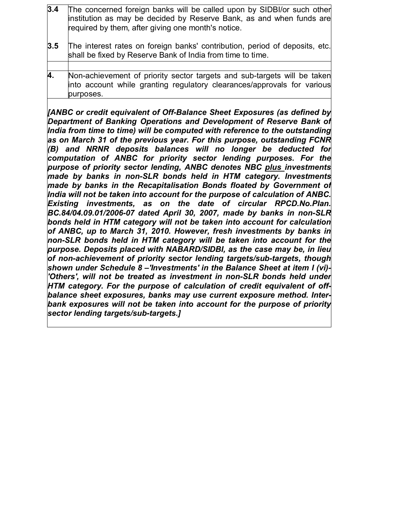| 3.4 | The concerned foreign banks will be called upon by SIDBI/or such other<br>institution as may be decided by Reserve Bank, as and when funds are<br>required by them, after giving one month's notice. |
|-----|------------------------------------------------------------------------------------------------------------------------------------------------------------------------------------------------------|
| 3.5 | The interest rates on foreign banks' contribution, period of deposits, etc.<br>shall be fixed by Reserve Bank of India from time to time.                                                            |
|     |                                                                                                                                                                                                      |
| 4.  | Non-achievement of priority sector targets and sub-targets will be taken<br>into account while granting regulatory clearances/approvals for various<br>purposes.                                     |

*[ANBC or credit equivalent of Off-Balance Sheet Exposures (as defined by Department of Banking Operations and Development of Reserve Bank of India from time to time) will be computed with reference to the outstanding as on March 31 of the previous year. For this purpose, outstanding FCNR (B) and NRNR deposits balances will no longer be deducted for computation of ANBC for priority sector lending purposes. For the purpose of priority sector lending, ANBC denotes NBC plus investments made by banks in non-SLR bonds held in HTM category. Investments made by banks in the Recapitalisation Bonds floated by Government of India will not be taken into account for the purpose of calculation of ANBC. Existing investments, as on the date of circular RPCD.No.Plan. BC.84/04.09.01/2006-07 dated April 30, 2007, made by banks in non-SLR bonds held in HTM category will not be taken into account for calculation of ANBC, up to March 31, 2010. However, fresh investments by banks in non-SLR bonds held in HTM category will be taken into account for the purpose. Deposits placed with NABARD/SIDBI, as the case may be, in lieu of non-achievement of priority sector lending targets/sub-targets, though shown under Schedule 8 –'Investments' in the Balance Sheet at item I (vi)- 'Others', will not be treated as investment in non-SLR bonds held under HTM category. For the purpose of calculation of credit equivalent of offbalance sheet exposures, banks may use current exposure method. Interbank exposures will not be taken into account for the purpose of priority sector lending targets/sub-targets.]*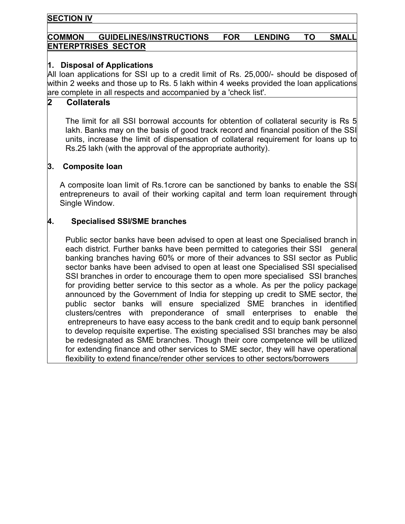#### **SECTION IV**

### **COMMON GUIDELINES/INSTRUCTIONS FOR LENDING TO SMALL ENTERPTRISES SECTOR**

### **1. Disposal of Applications**

All loan applications for SSI up to a credit limit of Rs. 25,000/- should be disposed of within 2 weeks and those up to Rs. 5 lakh within 4 weeks provided the loan applications are complete in all respects and accompanied by a 'check list'.

#### **2 Collaterals**

The limit for all SSI borrowal accounts for obtention of collateral security is Rs 5 lakh. Banks may on the basis of good track record and financial position of the SSI units, increase the limit of dispensation of collateral requirement for loans up to Rs.25 lakh (with the approval of the appropriate authority).

#### **3. Composite loan**

A composite loan limit of Rs.1crore can be sanctioned by banks to enable the SSI entrepreneurs to avail of their working capital and term loan requirement through Single Window.

#### **4. Specialised SSI/SME branches**

Public sector banks have been advised to open at least one Specialised branch in each district. Further banks have been permitted to categories their SSIgeneral banking branches having 60% or more of their advances to SSI sector as Public sector banks have been advised to open at least one Specialised SSI specialised SSI branches in order to encourage them to open more specialised SSI branches for providing better service to this sector as a whole. As per the policy package announced by the Government of India for stepping up credit to SME sector, the public sector banks will ensure specialized SME branches in identified clusters/centres with preponderance of small enterprises to enable the entrepreneurs to have easy access to the bank credit and to equip bank personnel to develop requisite expertise. The existing specialised SSI branches may be also be redesignated as SME branches. Though their core competence will be utilized for extending finance and other services to SME sector, they will have operational flexibility to extend finance/render other services to other sectors/borrowers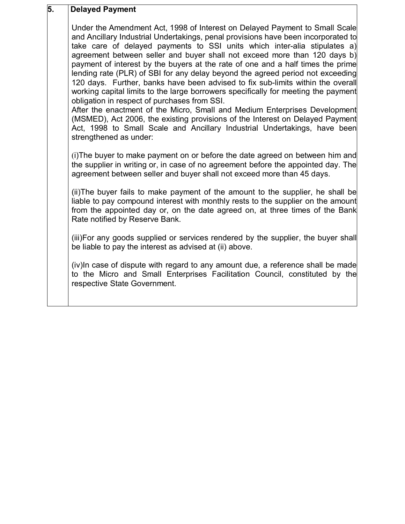# **5. Delayed Payment**

Under the Amendment Act, 1998 of Interest on Delayed Payment to Small Scale and Ancillary Industrial Undertakings, penal provisions have been incorporated to take care of delayed payments to SSI units which inter-alia stipulates a) agreement between seller and buyer shall not exceed more than 120 days b) payment of interest by the buyers at the rate of one and a half times the prime lending rate (PLR) of SBI for any delay beyond the agreed period not exceeding 120 days. Further, banks have been advised to fix sub-limits within the overall working capital limits to the large borrowers specifically for meeting the payment obligation in respect of purchases from SSI.

After the enactment of the Micro, Small and Medium Enterprises Development (MSMED), Act 2006, the existing provisions of the Interest on Delayed Payment Act, 1998 to Small Scale and Ancillary Industrial Undertakings, have been strengthened as under:

(i)The buyer to make payment on or before the date agreed on between him and the supplier in writing or, in case of no agreement before the appointed day. The agreement between seller and buyer shall not exceed more than 45 days.

(ii)The buyer fails to make payment of the amount to the supplier, he shall be liable to pay compound interest with monthly rests to the supplier on the amount from the appointed day or, on the date agreed on, at three times of the Bank Rate notified by Reserve Bank.

(iii)For any goods supplied or services rendered by the supplier, the buyer shall be liable to pay the interest as advised at (ii) above.

(iv)In case of dispute with regard to any amount due, a reference shall be made to the Micro and Small Enterprises Facilitation Council, constituted by the respective State Government.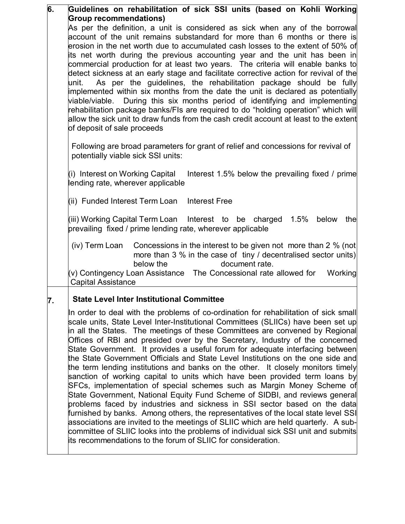| 6. | Guidelines on rehabilitation of sick SSI units (based on Kohli Working                                                                                        |  |  |  |  |  |
|----|---------------------------------------------------------------------------------------------------------------------------------------------------------------|--|--|--|--|--|
|    | <b>Group recommendations)</b>                                                                                                                                 |  |  |  |  |  |
|    | As per the definition, a unit is considered as sick when any of the borrowal<br>account of the unit remains substandard for more than 6 months or there is    |  |  |  |  |  |
|    | erosion in the net worth due to accumulated cash losses to the extent of 50% of                                                                               |  |  |  |  |  |
|    | its net worth during the previous accounting year and the unit has been in                                                                                    |  |  |  |  |  |
|    | commercial production for at least two years. The criteria will enable banks to                                                                               |  |  |  |  |  |
|    | detect sickness at an early stage and facilitate corrective action for revival of the                                                                         |  |  |  |  |  |
|    | As per the guidelines, the rehabilitation package should be fully<br>unit.<br>implemented within six months from the date the unit is declared as potentially |  |  |  |  |  |
|    | viable/viable. During this six months period of identifying and implementing                                                                                  |  |  |  |  |  |
|    | rehabilitation package banks/FIs are required to do "holding operation" which will                                                                            |  |  |  |  |  |
|    | allow the sick unit to draw funds from the cash credit account at least to the extent                                                                         |  |  |  |  |  |
|    | of deposit of sale proceeds                                                                                                                                   |  |  |  |  |  |
|    | Following are broad parameters for grant of relief and concessions for revival of                                                                             |  |  |  |  |  |
|    | potentially viable sick SSI units:                                                                                                                            |  |  |  |  |  |
|    | (i) Interest on Working Capital<br>Interest 1.5% below the prevailing fixed / prime                                                                           |  |  |  |  |  |
|    | lending rate, wherever applicable                                                                                                                             |  |  |  |  |  |
|    |                                                                                                                                                               |  |  |  |  |  |
|    | (ii) Funded Interest Term Loan<br><b>Interest Free</b>                                                                                                        |  |  |  |  |  |
|    | (iii) Working Capital Term Loan Interest to be charged<br>1.5% below<br>the                                                                                   |  |  |  |  |  |
|    | prevailing fixed / prime lending rate, wherever applicable                                                                                                    |  |  |  |  |  |
|    | Concessions in the interest to be given not more than 2 % (not<br>(iv) Term Loan                                                                              |  |  |  |  |  |
|    | more than 3 % in the case of tiny / decentralised sector units)                                                                                               |  |  |  |  |  |
|    | document rate.<br>below the<br>$(v)$ Contingency Loan Assistance The Concessional rate allowed for<br>Working                                                 |  |  |  |  |  |
|    | <b>Capital Assistance</b>                                                                                                                                     |  |  |  |  |  |
| 7. | <b>State Level Inter Institutional Committee</b>                                                                                                              |  |  |  |  |  |
|    | In order to deal with the problems of co-ordination for rehabilitation of sick small                                                                          |  |  |  |  |  |
|    | scale units, State Level Inter-Institutional Committees (SLIICs) have been set up                                                                             |  |  |  |  |  |
|    | in all the States. The meetings of these Committees are convened by Regional                                                                                  |  |  |  |  |  |
|    | Offices of RBI and presided over by the Secretary, Industry of the concerned<br>State Government. It provides a useful forum for adequate interfacing between |  |  |  |  |  |
|    | the State Government Officials and State Level Institutions on the one side and                                                                               |  |  |  |  |  |
|    | the term lending institutions and banks on the other. It closely monitors timely                                                                              |  |  |  |  |  |
|    | sanction of working capital to units which have been provided term loans by                                                                                   |  |  |  |  |  |
|    | SFCs, implementation of special schemes such as Margin Money Scheme of                                                                                        |  |  |  |  |  |
|    | State Government, National Equity Fund Scheme of SIDBI, and reviews general<br>problems faced by industries and sickness in SSI sector based on the data      |  |  |  |  |  |
|    | furnished by banks. Among others, the representatives of the local state level SSI                                                                            |  |  |  |  |  |
|    | associations are invited to the meetings of SLIIC which are held quarterly. A sub-                                                                            |  |  |  |  |  |
|    | committee of SLIIC looks into the problems of individual sick SSI unit and submits                                                                            |  |  |  |  |  |
|    | its recommendations to the forum of SLIIC for consideration.                                                                                                  |  |  |  |  |  |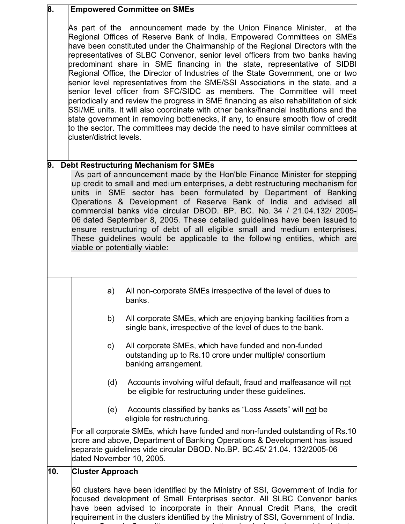| 8.  | <b>Empowered Committee on SMEs</b>                                                                                                                                                                                                                                                                                                                                                                                                                                                                                                                                                                                                                     |                                                                                                                                                                                                                                                                                                                                                                                                                                                                                                                                                                                                                                                                                                                                                                                                                                                                                                                                                                                                              |  |  |  |
|-----|--------------------------------------------------------------------------------------------------------------------------------------------------------------------------------------------------------------------------------------------------------------------------------------------------------------------------------------------------------------------------------------------------------------------------------------------------------------------------------------------------------------------------------------------------------------------------------------------------------------------------------------------------------|--------------------------------------------------------------------------------------------------------------------------------------------------------------------------------------------------------------------------------------------------------------------------------------------------------------------------------------------------------------------------------------------------------------------------------------------------------------------------------------------------------------------------------------------------------------------------------------------------------------------------------------------------------------------------------------------------------------------------------------------------------------------------------------------------------------------------------------------------------------------------------------------------------------------------------------------------------------------------------------------------------------|--|--|--|
|     | cluster/district levels.                                                                                                                                                                                                                                                                                                                                                                                                                                                                                                                                                                                                                               | As part of the announcement made by the Union Finance Minister,<br>at the<br>Regional Offices of Reserve Bank of India, Empowered Committees on SMEs<br>have been constituted under the Chairmanship of the Regional Directors with the<br>representatives of SLBC Convenor, senior level officers from two banks having<br>predominant share in SME financing in the state, representative of SIDBI<br>Regional Office, the Director of Industries of the State Government, one or two<br>senior level representatives from the SME/SSI Associations in the state, and a<br>senior level officer from SFC/SIDC as members. The Committee will meet<br>periodically and review the progress in SME financing as also rehabilitation of sick<br>SSI/ME units. It will also coordinate with other banks/financial institutions and the<br>state government in removing bottlenecks, if any, to ensure smooth flow of credit<br>to the sector. The committees may decide the need to have similar committees at |  |  |  |
| 9.  |                                                                                                                                                                                                                                                                                                                                                                                                                                                                                                                                                                                                                                                        | <b>Debt Restructuring Mechanism for SMEs</b>                                                                                                                                                                                                                                                                                                                                                                                                                                                                                                                                                                                                                                                                                                                                                                                                                                                                                                                                                                 |  |  |  |
|     | As part of announcement made by the Hon'ble Finance Minister for stepping<br>up credit to small and medium enterprises, a debt restructuring mechanism for<br>units in SME sector has been formulated by Department of Banking<br>Operations & Development of Reserve Bank of India and advised all<br>commercial banks vide circular DBOD. BP. BC. No. 34 / 21.04.132/ 2005-<br>06 dated September 8, 2005. These detailed guidelines have been issued to<br>ensure restructuring of debt of all eligible small and medium enterprises.<br>These guidelines would be applicable to the following entities, which are<br>viable or potentially viable: |                                                                                                                                                                                                                                                                                                                                                                                                                                                                                                                                                                                                                                                                                                                                                                                                                                                                                                                                                                                                              |  |  |  |
|     |                                                                                                                                                                                                                                                                                                                                                                                                                                                                                                                                                                                                                                                        |                                                                                                                                                                                                                                                                                                                                                                                                                                                                                                                                                                                                                                                                                                                                                                                                                                                                                                                                                                                                              |  |  |  |
|     | All non-corporate SMEs irrespective of the level of dues to<br>a)<br>banks.                                                                                                                                                                                                                                                                                                                                                                                                                                                                                                                                                                            |                                                                                                                                                                                                                                                                                                                                                                                                                                                                                                                                                                                                                                                                                                                                                                                                                                                                                                                                                                                                              |  |  |  |
|     | b)                                                                                                                                                                                                                                                                                                                                                                                                                                                                                                                                                                                                                                                     | All corporate SMEs, which are enjoying banking facilities from a<br>single bank, irrespective of the level of dues to the bank.                                                                                                                                                                                                                                                                                                                                                                                                                                                                                                                                                                                                                                                                                                                                                                                                                                                                              |  |  |  |
|     | $\mathsf{c})$                                                                                                                                                                                                                                                                                                                                                                                                                                                                                                                                                                                                                                          | All corporate SMEs, which have funded and non-funded<br>outstanding up to Rs.10 crore under multiple/ consortium<br>banking arrangement.                                                                                                                                                                                                                                                                                                                                                                                                                                                                                                                                                                                                                                                                                                                                                                                                                                                                     |  |  |  |
|     | Accounts involving wilful default, fraud and malfeasance will not<br>(d)<br>be eligible for restructuring under these guidelines.                                                                                                                                                                                                                                                                                                                                                                                                                                                                                                                      |                                                                                                                                                                                                                                                                                                                                                                                                                                                                                                                                                                                                                                                                                                                                                                                                                                                                                                                                                                                                              |  |  |  |
|     | (e)                                                                                                                                                                                                                                                                                                                                                                                                                                                                                                                                                                                                                                                    | Accounts classified by banks as "Loss Assets" will not be<br>eligible for restructuring.                                                                                                                                                                                                                                                                                                                                                                                                                                                                                                                                                                                                                                                                                                                                                                                                                                                                                                                     |  |  |  |
|     | dated November 10, 2005.                                                                                                                                                                                                                                                                                                                                                                                                                                                                                                                                                                                                                               | For all corporate SMEs, which have funded and non-funded outstanding of Rs.10<br>crore and above, Department of Banking Operations & Development has issued<br>separate guidelines vide circular DBOD. No.BP. BC.45/ 21.04. 132/2005-06                                                                                                                                                                                                                                                                                                                                                                                                                                                                                                                                                                                                                                                                                                                                                                      |  |  |  |
| 10. | <b>Cluster Approach</b>                                                                                                                                                                                                                                                                                                                                                                                                                                                                                                                                                                                                                                |                                                                                                                                                                                                                                                                                                                                                                                                                                                                                                                                                                                                                                                                                                                                                                                                                                                                                                                                                                                                              |  |  |  |
|     |                                                                                                                                                                                                                                                                                                                                                                                                                                                                                                                                                                                                                                                        | 60 clusters have been identified by the Ministry of SSI, Government of India for<br>focused development of Small Enterprises sector. All SLBC Convenor banks<br>have been advised to incorporate in their Annual Credit Plans, the credit                                                                                                                                                                                                                                                                                                                                                                                                                                                                                                                                                                                                                                                                                                                                                                    |  |  |  |

requirement in the clusters identified by the Ministry of SSI, Government of India. As per Ganguly Committee recommendations banks have been advised that a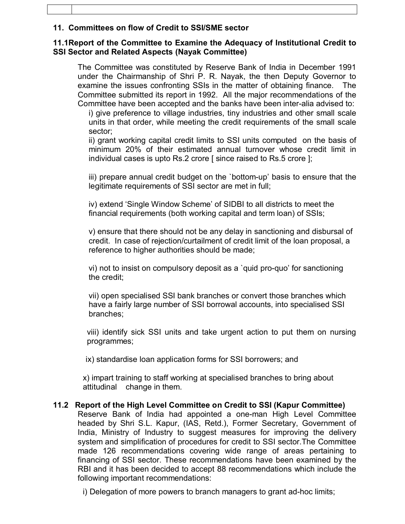#### **11. Committees on flow of Credit to SSI/SME sector**

#### **11.1Report of the Committee to Examine the Adequacy of Institutional Credit to SSI Sector and Related Aspects (Nayak Committee)**

The Committee was constituted by Reserve Bank of India in December 1991 under the Chairmanship of Shri P. R. Nayak, the then Deputy Governor to examine the issues confronting SSIs in the matter of obtaining finance. The Committee submitted its report in 1992. All the major recommendations of the Committee have been accepted and the banks have been inter-alia advised to:

i) give preference to village industries, tiny industries and other small scale units in that order, while meeting the credit requirements of the small scale sector;

ii) grant working capital credit limits to SSI units computed on the basis of minimum 20% of their estimated annual turnover whose credit limit in individual cases is upto Rs.2 crore [ since raised to Rs.5 crore ];

iii) prepare annual credit budget on the `bottom-up' basis to ensure that the legitimate requirements of SSI sector are met in full;

iv) extend 'Single Window Scheme' of SIDBI to all districts to meet the financial requirements (both working capital and term loan) of SSIs;

v) ensure that there should not be any delay in sanctioning and disbursal of credit. In case of rejection/curtailment of credit limit of the loan proposal, a reference to higher authorities should be made;

vi) not to insist on compulsory deposit as a `quid pro-quo' for sanctioning the credit;

vii) open specialised SSI bank branches or convert those branches which have a fairly large number of SSI borrowal accounts, into specialised SSI branches;

 viii) identify sick SSI units and take urgent action to put them on nursing programmes;

ix) standardise loan application forms for SSI borrowers; and

x) impart training to staff working at specialised branches to bring about attitudinal change in them.

### **11.2 Report of the High Level Committee on Credit to SSI (Kapur Committee)**

Reserve Bank of India had appointed a one-man High Level Committee headed by Shri S.L. Kapur, (IAS, Retd.), Former Secretary, Government of India, Ministry of Industry to suggest measures for improving the delivery system and simplification of procedures for credit to SSI sector.The Committee made 126 recommendations covering wide range of areas pertaining to financing of SSI sector. These recommendations have been examined by the RBI and it has been decided to accept 88 recommendations which include the following important recommendations:

i) Delegation of more powers to branch managers to grant ad-hoc limits;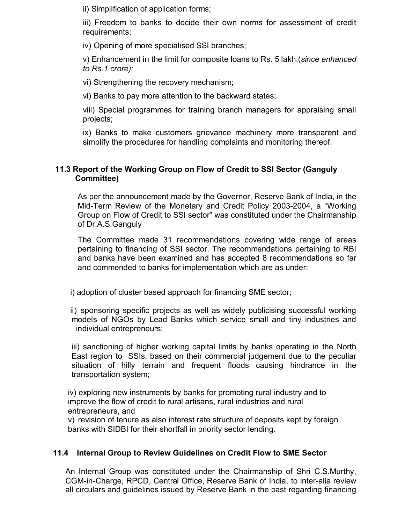ii) Simplification of application forms;

iii) Freedom to banks to decide their own norms for assessment of credit requirements;

iv) Opening of more specialised SSI branches;

v) Enhancement in the limit for composite loans to Rs. 5 lakh.(*since enhanced to Rs.1 crore);*

vi) Strengthening the recovery mechanism;

vi) Banks to pay more attention to the backward states;

viii) Special programmes for training branch managers for appraising small projects;

ix) Banks to make customers grievance machinery more transparent and simplify the procedures for handling complaints and monitoring thereof.

#### **11.3 Report of the Working Group on Flow of Credit to SSI Sector (Ganguly Committee)**

As per the announcement made by the Governor, Reserve Bank of India, in the Mid-Term Review of the Monetary and Credit Policy 2003-2004, a "Working Group on Flow of Credit to SSI sector" was constituted under the Chairmanship of Dr.A.S.Ganguly

The Committee made 31 recommendations covering wide range of areas pertaining to financing of SSI sector. The recommendations pertaining to RBI and banks have been examined and has accepted 8 recommendations so far and commended to banks for implementation which are as under:

i) adoption of cluster based approach for financing SME sector;

ii) sponsoring specific projects as well as widely publicising successful working models of NGOs by Lead Banks which service small and tiny industries and individual entrepreneurs;

iii) sanctioning of higher working capital limits by banks operating in the North East region to SSIs, based on their commercial judgement due to the peculiar situation of hilly terrain and frequent floods causing hindrance in the transportation system;

iv) exploring new instruments by banks for promoting rural industry and to improve the flow of credit to rural artisans, rural industries and rural entrepreneurs, and

v) revision of tenure as also interest rate structure of deposits kept by foreign banks with SIDBI for their shortfall in priority sector lending.

### **11.4 Internal Group to Review Guidelines on Credit Flow to SME Sector**

An Internal Group was constituted under the Chairmanship of Shri C.S.Murthy, CGM-in-Charge, RPCD, Central Office, Reserve Bank of India, to inter-alia review all circulars and guidelines issued by Reserve Bank in the past regarding financing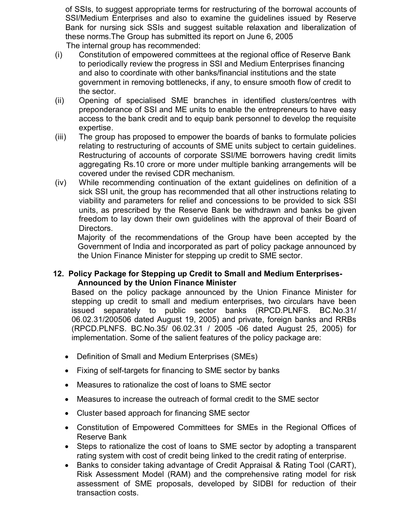of SSIs, to suggest appropriate terms for restructuring of the borrowal accounts of SSI/Medium Enterprises and also to examine the guidelines issued by Reserve Bank for nursing sick SSIs and suggest suitable relaxation and liberalization of these norms.The Group has submitted its report on June 6, 2005

- The internal group has recommended:
- (i) Constitution of empowered committees at the regional office of Reserve Bank to periodically review the progress in SSI and Medium Enterprises financing and also to coordinate with other banks/financial institutions and the state government in removing bottlenecks, if any, to ensure smooth flow of credit to the sector.
- (ii) Opening of specialised SME branches in identified clusters/centres with preponderance of SSI and ME units to enable the entrepreneurs to have easy access to the bank credit and to equip bank personnel to develop the requisite expertise.
- (iii) The group has proposed to empower the boards of banks to formulate policies relating to restructuring of accounts of SME units subject to certain guidelines. Restructuring of accounts of corporate SSI/ME borrowers having credit limits aggregating Rs.10 crore or more under multiple banking arrangements will be covered under the revised CDR mechanism.
- (iv) While recommending continuation of the extant guidelines on definition of a sick SSI unit, the group has recommended that all other instructions relating to viability and parameters for relief and concessions to be provided to sick SSI units, as prescribed by the Reserve Bank be withdrawn and banks be given freedom to lay down their own guidelines with the approval of their Board of Directors.

Majority of the recommendations of the Group have been accepted by the Government of India and incorporated as part of policy package announced by the Union Finance Minister for stepping up credit to SME sector.

#### **12. Policy Package for Stepping up Credit to Small and Medium Enterprises-Announced by the Union Finance Minister**

Based on the policy package announced by the Union Finance Minister for stepping up credit to small and medium enterprises, two circulars have been issued separately to public sector banks (RPCD.PLNFS. BC.No.31/ 06.02.31/200506 dated August 19, 2005) and private, foreign banks and RRBs (RPCD.PLNFS. BC.No.35/ 06.02.31 / 2005 -06 dated August 25, 2005) for implementation. Some of the salient features of the policy package are:

- Definition of Small and Medium Enterprises (SMEs)
- Fixing of self-targets for financing to SME sector by banks
- Measures to rationalize the cost of loans to SME sector
- Measures to increase the outreach of formal credit to the SME sector
- Cluster based approach for financing SME sector
- Constitution of Empowered Committees for SMEs in the Regional Offices of Reserve Bank
- Steps to rationalize the cost of loans to SME sector by adopting a transparent rating system with cost of credit being linked to the credit rating of enterprise.
- Banks to consider taking advantage of Credit Appraisal & Rating Tool (CART), Risk Assessment Model (RAM) and the comprehensive rating model for risk assessment of SME proposals, developed by SIDBI for reduction of their transaction costs.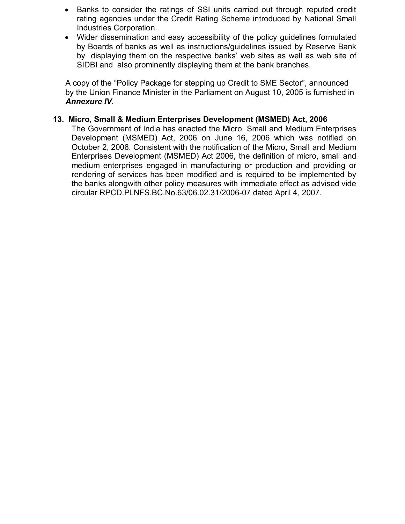- Banks to consider the ratings of SSI units carried out through reputed credit rating agencies under the Credit Rating Scheme introduced by National Small Industries Corporation.
- Wider dissemination and easy accessibility of the policy guidelines formulated by Boards of banks as well as instructions/guidelines issued by Reserve Bank by displaying them on the respective banks' web sites as well as web site of SIDBI and also prominently displaying them at the bank branches.

A copy of the "Policy Package for stepping up Credit to SME Sector", announced by the Union Finance Minister in the Parliament on August 10, 2005 is furnished in *Annexure IV.*

#### **13. Micro, Small & Medium Enterprises Development (MSMED) Act, 2006**

The Government of India has enacted the Micro, Small and Medium Enterprises Development (MSMED) Act, 2006 on June 16, 2006 which was notified on October 2, 2006. Consistent with the notification of the Micro, Small and Medium Enterprises Development (MSMED) Act 2006, the definition of micro, small and medium enterprises engaged in manufacturing or production and providing or rendering of services has been modified and is required to be implemented by the banks alongwith other policy measures with immediate effect as advised vide circular RPCD.PLNFS.BC.No.63/06.02.31/2006-07 dated April 4, 2007.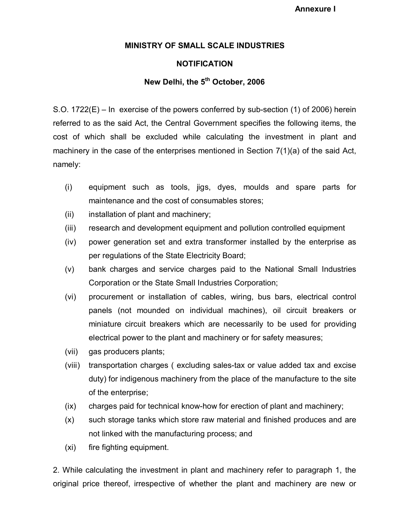**Annexure I**

#### **MINISTRY OF SMALL SCALE INDUSTRIES**

#### **NOTIFICATION**

#### **New Delhi, the 5th October, 2006**

S.O. 1722(E) – In exercise of the powers conferred by sub-section (1) of 2006) herein referred to as the said Act, the Central Government specifies the following items, the cost of which shall be excluded while calculating the investment in plant and machinery in the case of the enterprises mentioned in Section  $7(1)(a)$  of the said Act, namely:

- (i) equipment such as tools, jigs, dyes, moulds and spare parts for maintenance and the cost of consumables stores;
- (ii) installation of plant and machinery;
- (iii) research and development equipment and pollution controlled equipment
- (iv) power generation set and extra transformer installed by the enterprise as per regulations of the State Electricity Board;
- (v) bank charges and service charges paid to the National Small Industries Corporation or the State Small Industries Corporation;
- (vi) procurement or installation of cables, wiring, bus bars, electrical control panels (not mounded on individual machines), oil circuit breakers or miniature circuit breakers which are necessarily to be used for providing electrical power to the plant and machinery or for safety measures;
- (vii) gas producers plants;
- (viii) transportation charges ( excluding sales-tax or value added tax and excise duty) for indigenous machinery from the place of the manufacture to the site of the enterprise;
- (ix) charges paid for technical know-how for erection of plant and machinery;
- (x) such storage tanks which store raw material and finished produces and are not linked with the manufacturing process; and
- (xi) fire fighting equipment.

2. While calculating the investment in plant and machinery refer to paragraph 1, the original price thereof, irrespective of whether the plant and machinery are new or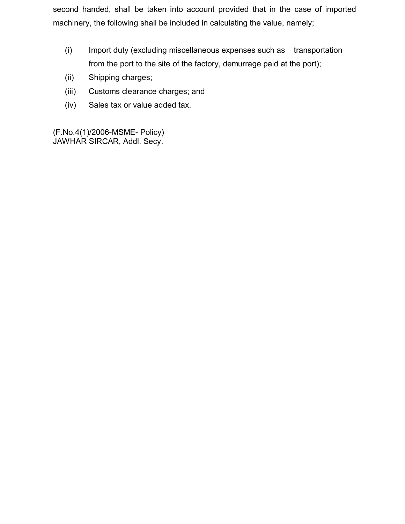second handed, shall be taken into account provided that in the case of imported machinery, the following shall be included in calculating the value, namely;

- (i) Import duty (excluding miscellaneous expenses such as transportation from the port to the site of the factory, demurrage paid at the port);
- (ii) Shipping charges;
- (iii) Customs clearance charges; and
- (iv) Sales tax or value added tax.

(F.No.4(1)/2006-MSME- Policy) JAWHAR SIRCAR, Addl. Secy.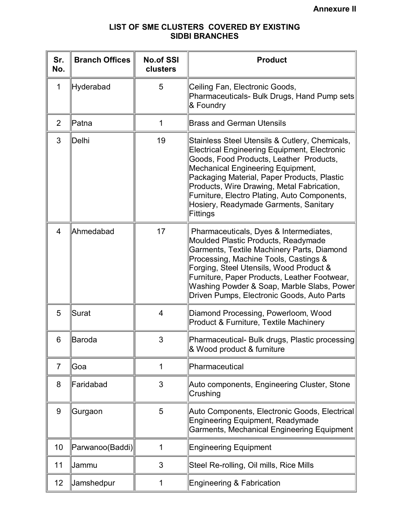### **LIST OF SME CLUSTERS COVERED BY EXISTING SIDBI BRANCHES**

| Sr.<br>No.              | <b>Branch Offices</b> | <b>No.of SSI</b><br>clusters | <b>Product</b>                                                                                                                                                                                                                                                                                                                                                                          |
|-------------------------|-----------------------|------------------------------|-----------------------------------------------------------------------------------------------------------------------------------------------------------------------------------------------------------------------------------------------------------------------------------------------------------------------------------------------------------------------------------------|
| 1                       | Hyderabad             | 5                            | Ceiling Fan, Electronic Goods,<br>Pharmaceuticals- Bulk Drugs, Hand Pump sets<br>& Foundry                                                                                                                                                                                                                                                                                              |
| $\overline{2}$          | Patna                 | 1                            | <b>Brass and German Utensils</b>                                                                                                                                                                                                                                                                                                                                                        |
| 3                       | Delhi                 | 19                           | Stainless Steel Utensils & Cutlery, Chemicals,<br>Electrical Engineering Equipment, Electronic<br>Goods, Food Products, Leather Products,<br><b>Mechanical Engineering Equipment,</b><br>Packaging Material, Paper Products, Plastic<br>Products, Wire Drawing, Metal Fabrication,<br>Furniture, Electro Plating, Auto Components,<br>Hosiery, Readymade Garments, Sanitary<br>Fittings |
| $\overline{\mathbf{4}}$ | Ahmedabad             | 17                           | Pharmaceuticals, Dyes & Intermediates,<br>Moulded Plastic Products, Readymade<br>Garments, Textile Machinery Parts, Diamond<br>Processing, Machine Tools, Castings &<br>Forging, Steel Utensils, Wood Product &<br>Furniture, Paper Products, Leather Footwear,<br>Washing Powder & Soap, Marble Slabs, Power<br>Driven Pumps, Electronic Goods, Auto Parts                             |
| 5                       | Surat                 | 4                            | Diamond Processing, Powerloom, Wood<br>Product & Furniture, Textile Machinery                                                                                                                                                                                                                                                                                                           |
| 6                       | Baroda                | 3                            | Pharmaceutical- Bulk drugs, Plastic processing<br>& Wood product & furniture                                                                                                                                                                                                                                                                                                            |
| $\overline{7}$          | Goa                   | 1                            | Pharmaceutical                                                                                                                                                                                                                                                                                                                                                                          |
| 8                       | Faridabad             | 3                            | Auto components, Engineering Cluster, Stone<br>Crushing                                                                                                                                                                                                                                                                                                                                 |
| 9                       | Gurgaon               | 5                            | Auto Components, Electronic Goods, Electrical<br><b>Engineering Equipment, Readymade</b><br>Garments, Mechanical Engineering Equipment                                                                                                                                                                                                                                                  |
| 10                      | Parwanoo(Baddi)       | 1                            | <b>Engineering Equipment</b>                                                                                                                                                                                                                                                                                                                                                            |
| 11                      | Jammu                 | 3                            | Steel Re-rolling, Oil mills, Rice Mills                                                                                                                                                                                                                                                                                                                                                 |
| 12                      | <b>Jamshedpur</b>     | 1                            | <b>Engineering &amp; Fabrication</b>                                                                                                                                                                                                                                                                                                                                                    |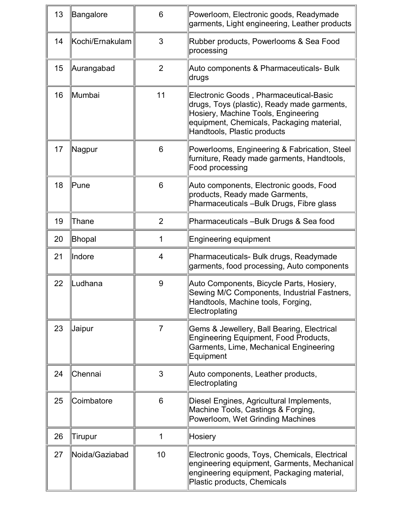| 13 | <b>Bangalore</b> | 6              | Powerloom, Electronic goods, Readymade<br>garments, Light engineering, Leather products                                                                                                                  |  |
|----|------------------|----------------|----------------------------------------------------------------------------------------------------------------------------------------------------------------------------------------------------------|--|
| 14 | Kochi/Ernakulam  | 3              | Rubber products, Powerlooms & Sea Food<br>processing                                                                                                                                                     |  |
| 15 | Aurangabad       | $\overline{2}$ | Auto components & Pharmaceuticals- Bulk<br>drugs                                                                                                                                                         |  |
| 16 | Mumbai           | 11             | Electronic Goods, Pharmaceutical-Basic<br>drugs, Toys (plastic), Ready made garments,<br>Hosiery, Machine Tools, Engineering<br>equipment, Chemicals, Packaging material,<br>Handtools, Plastic products |  |
| 17 | Nagpur           | 6              | Powerlooms, Engineering & Fabrication, Steel<br>furniture, Ready made garments, Handtools,<br>Food processing                                                                                            |  |
| 18 | Pune             | 6              | Auto components, Electronic goods, Food<br>products, Ready made Garments,<br>Pharmaceuticals - Bulk Drugs, Fibre glass                                                                                   |  |
| 19 | Thane            | $\overline{2}$ | Pharmaceuticals - Bulk Drugs & Sea food                                                                                                                                                                  |  |
| 20 | <b>Bhopal</b>    | 1              | <b>Engineering equipment</b>                                                                                                                                                                             |  |
| 21 | Indore           | 4              | Pharmaceuticals- Bulk drugs, Readymade<br>garments, food processing, Auto components                                                                                                                     |  |
| 22 | Ludhana          | 9              | Auto Components, Bicycle Parts, Hosiery,<br>Sewing M/C Components, Industrial Fastners,<br>Handtools, Machine tools, Forging,<br>Electroplating                                                          |  |
| 23 | <b>Jaipur</b>    | $\overline{7}$ | Gems & Jewellery, Ball Bearing, Electrical<br>Engineering Equipment, Food Products,<br>Garments, Lime, Mechanical Engineering<br>Equipment                                                               |  |
| 24 | Chennai          | 3              | Auto components, Leather products,<br>Electroplating                                                                                                                                                     |  |
| 25 | Coimbatore       | 6              | Diesel Engines, Agricultural Implements,<br>Machine Tools, Castings & Forging,<br>Powerloom, Wet Grinding Machines                                                                                       |  |
| 26 | Tirupur          | 1              | <b>Hosiery</b>                                                                                                                                                                                           |  |
| 27 | Noida/Gaziabad   | 10             | Electronic goods, Toys, Chemicals, Electrical<br>engineering equipment, Garments, Mechanical<br>engineering equipment, Packaging material,<br>Plastic products, Chemicals                                |  |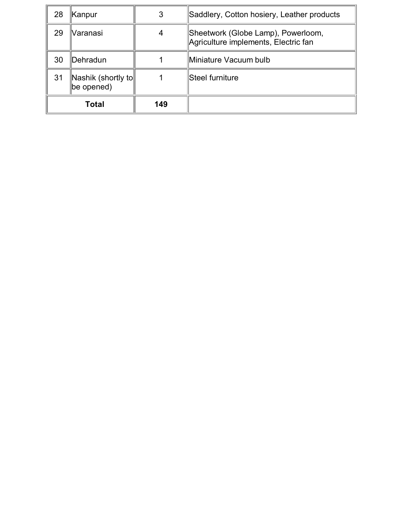| 28 | Kanpur                           |     | Saddlery, Cotton hosiery, Leather products                                 |
|----|----------------------------------|-----|----------------------------------------------------------------------------|
| 29 | Varanasi                         |     | Sheetwork (Globe Lamp), Powerloom,<br>Agriculture implements, Electric fan |
| 30 | Dehradun                         |     | Miniature Vacuum bulb                                                      |
| 31 | Nashik (shortly to<br>be opened) |     | Steel furniture                                                            |
|    | Total                            | 149 |                                                                            |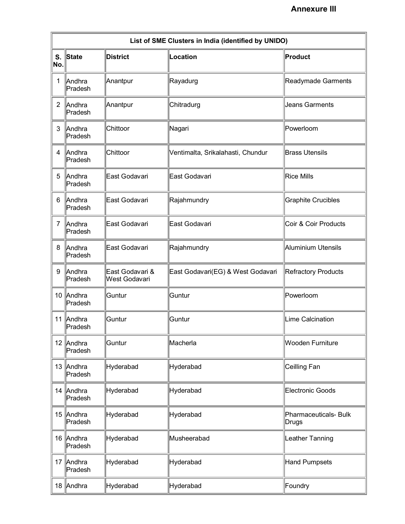<u> 1980 - Johann Barbara, martx</u>

 $\rightarrow$ 

| List of SME Clusters in India (identified by UNIDO) |                      |                                  |                                   |                                |  |
|-----------------------------------------------------|----------------------|----------------------------------|-----------------------------------|--------------------------------|--|
| No.                                                 | S. State             | <b>District</b>                  | Location                          | Product                        |  |
| 1                                                   | Andhra<br>Pradesh    | Anantpur                         | Rayadurg                          | Readymade Garments             |  |
| 2                                                   | Andhra<br>Pradesh    | Anantpur                         | Chitradurg                        | Jeans Garments                 |  |
| 3                                                   | Andhra<br>Pradesh    | Chittoor                         | Nagari                            | Powerloom                      |  |
| 4                                                   | Andhra<br>Pradesh    | Chittoor                         | Ventimalta, Srikalahasti, Chundur | <b>Brass Utensils</b>          |  |
| 5                                                   | Andhra<br>Pradesh    | East Godavari                    | East Godavari                     | <b>Rice Mills</b>              |  |
| 6                                                   | Andhra<br>Pradesh    | East Godavari                    | Rajahmundry                       | <b>Graphite Crucibles</b>      |  |
| 7                                                   | Andhra<br>Pradesh    | East Godavari                    | East Godavari                     | Coir & Coir Products           |  |
| 8                                                   | Andhra<br>Pradesh    | East Godavari                    | Rajahmundry                       | Aluminium Utensils             |  |
| 9                                                   | Andhra<br>Pradesh    | East Godavari &<br>West Godavari | East Godavari(EG) & West Godavari | Refractory Products            |  |
|                                                     | 10 Andhra<br>Pradesh | Guntur                           | Guntur                            | Powerloom                      |  |
|                                                     | 11 Andhra<br>Pradesh | Guntur                           | Guntur                            | Lime Calcination               |  |
|                                                     | 12 Andhra<br>Pradesh | Guntur                           | Macherla                          | Wooden Furniture               |  |
|                                                     | 13 Andhra<br>Pradesh | Hyderabad                        | Hyderabad                         | Ceilling Fan                   |  |
|                                                     | 14 Andhra<br>Pradesh | Hyderabad                        | Hyderabad                         | Electronic Goods               |  |
|                                                     | 15 Andhra<br>Pradesh | Hyderabad                        | Hyderabad                         | Pharmaceuticals- Bulk<br>Drugs |  |
|                                                     | 16 Andhra<br>Pradesh | Hyderabad                        | Musheerabad                       | Leather Tanning                |  |
|                                                     | 17 Andhra<br>Pradesh | Hyderabad                        | Hyderabad                         | Hand Pumpsets                  |  |
|                                                     | 18 Andhra            | Hyderabad                        | Hyderabad                         | Foundry                        |  |

<u> 1989 - Andrea Stadt Britain, amerikansk politik (\* 1958)</u>

 $\equiv$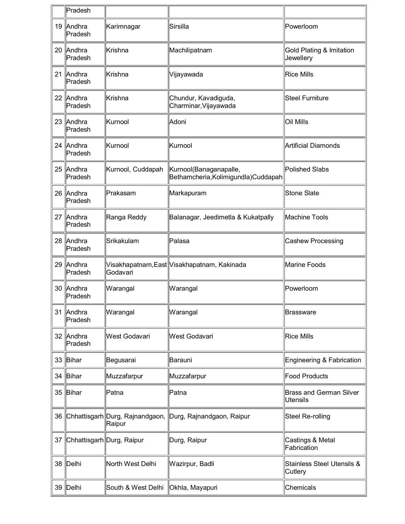|    | Pradesh                   |                                           |                                                                |                                                   |
|----|---------------------------|-------------------------------------------|----------------------------------------------------------------|---------------------------------------------------|
|    | 19 Andhra<br>Pradesh      | Karimnagar                                | Sirsilla                                                       | Powerloom                                         |
|    | 20 Andhra<br>Pradesh      | lKrishna                                  | Machilipatnam                                                  | Gold Plating & Imitation<br>Jewellery             |
|    | 21 Andhra<br>Pradesh      | Krishna                                   | Vijayawada                                                     | <b>Rice Mills</b>                                 |
|    | 22 Andhra<br>Pradesh      | lKrishna                                  | Chundur, Kavadiguda,<br>Charminar, Vijayawada                  | <b>Steel Furniture</b>                            |
|    | 23 Andhra<br>Pradesh      | Kurnool                                   | Adoni                                                          | Oil Mills                                         |
|    | 24 Andhra<br>Pradesh      | Kurnool                                   | Kurnool                                                        | Artificial Diamonds                               |
|    | 25 Andhra<br>Pradesh      | Kurnool, Cuddapah                         | Kurnool(Banaganapalle,<br>Bethamcheria, Kolimigundla) Cuddapah | Polished Slabs                                    |
|    | 26 Andhra<br>Pradesh      | Prakasam                                  | Markapuram                                                     | Stone Slate                                       |
|    | 27 Andhra<br>Pradesh      | Ranga Reddy                               | Balanagar, Jeedimetla & Kukatpally                             | Machine Tools                                     |
|    | 28 Andhra<br>Pradesh      | Srikakulam                                | Palasa                                                         | Cashew Processing                                 |
|    | 29 Andhra<br>Pradesh      | Godavari                                  | Visakhapatnam,East  Visakhapatnam, Kakinada                    | Marine Foods                                      |
|    | 30 Andhra<br>Pradesh      | Warangal                                  | Warangal                                                       | Powerloom                                         |
|    | 31 Andhra<br>Pradesh      | Warangal                                  | Warangal                                                       | Brassware                                         |
|    | 32 Andhra<br>Pradesh      | West Godavari                             | West Godavari                                                  | <b>Rice Mills</b>                                 |
|    | 33 Bihar                  | Begusarai                                 | Barauni                                                        | Engineering & Fabrication                         |
| 34 | Bihar                     | Muzzafarpur                               | Muzzafarpur                                                    | Food Products                                     |
| 35 | Bihar                     | Patna                                     | Patna                                                          | <b>Brass and German Silver</b><br><b>Utensils</b> |
| 36 |                           | Chhattisgarh Durg, Rajnandgaon,<br>Raipur | Durg, Rajnandgaon, Raipur                                      | Steel Re-rolling                                  |
| 37 | Chhattisgarh Durg, Raipur |                                           | Durg, Raipur                                                   | Castings & Metal<br>Fabrication                   |
| 38 | Delhi                     | North West Delhi                          | Wazirpur, Badli                                                | Stainless Steel Utensils &<br>Cutlery             |
|    | 39 Delhi                  | South & West Delhi                        | Okhla, Mayapuri                                                | Chemicals                                         |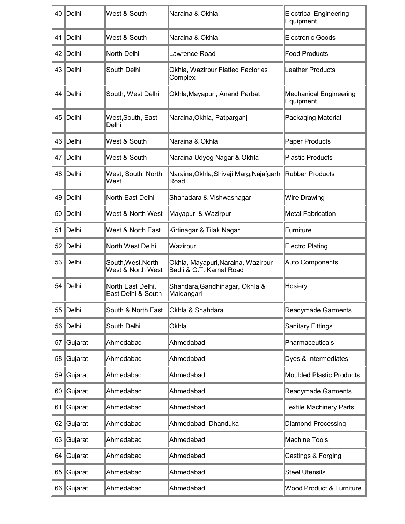| 40 | Delhi      | West & South                            | Naraina & Okhla                                                 | <b>Electrical Engineering</b><br>Equipment |
|----|------------|-----------------------------------------|-----------------------------------------------------------------|--------------------------------------------|
| 41 | Delhi      | West & South                            | Naraina & Okhla                                                 | Electronic Goods                           |
| 42 | Delhi      | North Delhi                             | Lawrence Road                                                   | Food Products                              |
| 43 | Delhi      | South Delhi                             | Okhla, Wazirpur Flatted Factories<br>Complex                    | Leather Products                           |
| 44 | Delhi      | South, West Delhi                       | Okhla, Mayapuri, Anand Parbat                                   | Mechanical Engineering<br>Equipment        |
| 45 | Delhi      | West, South, East<br>Delhi              | Naraina, Okhla, Patparganj                                      | Packaging Material                         |
| 46 | Delhi      | West & South                            | Naraina & Okhla                                                 | Paper Products                             |
| 47 | Delhi      | West & South                            | Naraina Udyog Nagar & Okhla                                     | <b>Plastic Products</b>                    |
| 48 | Delhi      | West, South, North<br>West              | Naraina, Okhla, Shivaji Marg, Najafgarh Rubber Products<br>Road |                                            |
| 49 | Delhi      | North East Delhi                        | Shahadara & Vishwasnagar                                        | Wire Drawing                               |
| 50 | Delhi      | West & North West                       | Mayapuri & Wazirpur                                             | Metal Fabrication                          |
| 51 | Delhi      | West & North East                       | Kirtinagar & Tilak Nagar                                        | Furniture                                  |
| 52 | Delhi      | North West Delhi                        | Wazirpur                                                        | Electro Plating                            |
| 53 | Delhi      | South, West, North<br>West & North West | Okhla, Mayapuri, Naraina, Wazirpur<br>Badli & G.T. Karnal Road  | Auto Components                            |
| 54 | Delhi      | North East Delhi,<br>East Delhi & South | Shahdara, Gandhinagar, Okhla &<br>Maidangari                    | Hosiery                                    |
| 55 | $\ $ Delhi | South & North East                      | Okhla & Shahdara                                                | Readymade Garments                         |
| 56 | Delhi      | South Delhi                             | Okhla                                                           | Sanitary Fittings                          |
| 57 | Gujarat    | Ahmedabad                               | Ahmedabad                                                       | Pharmaceuticals                            |
| 58 | Gujarat    | Ahmedabad                               | Ahmedabad                                                       | Dyes & Intermediates                       |
| 59 | Gujarat    | Ahmedabad                               | Ahmedabad                                                       | Moulded Plastic Products                   |
| 60 | Gujarat    | Ahmedabad                               | Ahmedabad                                                       | Readymade Garments                         |
| 61 | Gujarat    | Ahmedabad                               | Ahmedabad                                                       | <b>Textile Machinery Parts</b>             |
| 62 | Gujarat    | Ahmedabad                               | Ahmedabad, Dhanduka                                             | Diamond Processing                         |
| 63 | Gujarat    | Ahmedabad                               | Ahmedabad                                                       | Machine Tools                              |
| 64 | Gujarat    | Ahmedabad                               | Ahmedabad                                                       | Castings & Forging                         |
| 65 | Gujarat    | Ahmedabad                               | Ahmedabad                                                       | <b>Steel Utensils</b>                      |
| 66 | Gujarat    | Ahmedabad                               | Ahmedabad                                                       | <b>Wood Product &amp; Furniture</b>        |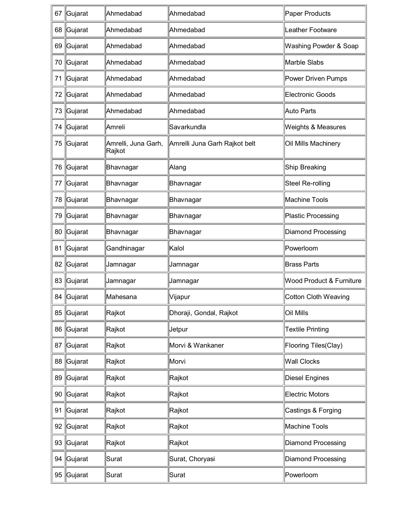| 67 | Gujarat    | Ahmedabad                     | Ahmedabad                     | Paper Products                |
|----|------------|-------------------------------|-------------------------------|-------------------------------|
|    | 68 Gujarat | Ahmedabad                     | Ahmedabad                     | Leather Footware              |
|    | 69 Gujarat | Ahmedabad                     | Ahmedabad                     | Washing Powder & Soap         |
|    | 70 Gujarat | Ahmedabad                     | Ahmedabad                     | Marble Slabs                  |
| 71 | ∥Gujarat   | Ahmedabad                     | Ahmedabad                     | Power Driven Pumps            |
|    | 72 Gujarat | Ahmedabad                     | Ahmedabad                     | Electronic Goods              |
| 73 | ∥Gujarat   | Ahmedabad                     | Ahmedabad                     | Auto Parts                    |
| 74 | ∥Gujarat   | Amreli                        | Savarkundla                   | <b>Weights &amp; Measures</b> |
| 75 | Gujarat    | Amrelli, Juna Garh,<br>Rajkot | Amrelli Juna Garh Rajkot belt | Oil Mills Machinery           |
| 76 | ∥Gujarat   | Bhavnagar                     | Alang                         | Ship Breaking                 |
| 77 | ∥Gujarat   | Bhavnagar                     | Bhavnagar                     | Steel Re-rolling              |
| 78 | ∥Gujarat   | Bhavnagar                     | Bhavnagar                     | Machine Tools                 |
| 79 | ∥Gujarat   | Bhavnagar                     | Bhavnagar                     | <b>Plastic Processing</b>     |
| 80 | ∥Gujarat   | Bhavnagar                     | Bhavnagar                     | <b>Diamond Processing</b>     |
| 81 | ∥Gujarat   | Gandhinagar                   | Kalol                         | Powerloom                     |
| 82 | Gujarat    | Jamnagar                      | Jamnagar                      | <b>Brass Parts</b>            |
| 83 | ∥Gujarat   | Jamnagar                      | Jamnagar                      | Wood Product & Furniture      |
|    | 84 Gujarat | Mahesana                      | ∣Vijapur                      | Cotton Cloth Weaving          |
|    | 85 Gujarat | Rajkot                        | Dhoraji, Gondal, Rajkot       | Oil Mills                     |
|    | 86 Gujarat | Rajkot                        | Jetpur                        | <b>Textile Printing</b>       |
|    | 87 Gujarat | Rajkot                        | Morvi & Wankaner              | Flooring Tiles(Clay)          |
|    | 88 Gujarat | Rajkot                        | Morvi                         | Wall Clocks                   |
|    | 89 Gujarat | Rajkot                        | Rajkot                        | <b>Diesel Engines</b>         |
|    | 90 Gujarat | Rajkot                        | Rajkot                        | Electric Motors               |
|    | 91 Gujarat | Rajkot                        | Rajkot                        | Castings & Forging            |
|    | 92 Gujarat | Rajkot                        | Rajkot                        | Machine Tools                 |
|    | 93 Gujarat | Rajkot                        | Rajkot                        | <b>Diamond Processing</b>     |
|    | 94 Gujarat | Surat                         | Surat, Choryasi               | Diamond Processing            |
|    | 95 Gujarat | Surat                         | Surat                         | Powerloom                     |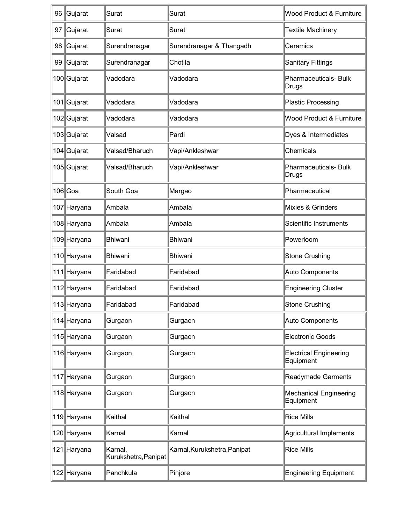| 96 | Gujarat     | Surat                           | Surat                        | <b>Wood Product &amp; Furniture</b>        |
|----|-------------|---------------------------------|------------------------------|--------------------------------------------|
| 97 | Gujarat     | Surat                           | Surat                        | Textile Machinery                          |
| 98 | Gujarat     | Surendranagar                   | Surendranagar & Thangadh     | Ceramics                                   |
| 99 | Gujarat     | Surendranagar                   | Chotila                      | Sanitary Fittings                          |
|    | 100 Gujarat | Vadodara                        | Vadodara                     | Pharmaceuticals- Bulk<br>Drugs             |
|    | 101 Gujarat | Vadodara                        | Vadodara                     | Plastic Processing                         |
|    | 102 Gujarat | Vadodara                        | Vadodara                     | Wood Product & Furniture                   |
|    | 103 Gujarat | Valsad                          | Pardi                        | Dyes & Intermediates                       |
|    | 104 Gujarat | Valsad/Bharuch                  | Vapi/Ankleshwar              | Chemicals                                  |
|    | 105 Gujarat | Valsad/Bharuch                  | Vapi/Ankleshwar              | Pharmaceuticals- Bulk<br>Drugs             |
|    | 106 Goa     | South Goa                       | Margao                       | Pharmaceutical                             |
|    | 107 Haryana | Ambala                          | Ambala                       | Mixies & Grinders                          |
|    | 108 Haryana | Ambala                          | Ambala                       | Scientific Instruments                     |
|    | 109 Haryana | Bhiwani                         | Bhiwani                      | Powerloom                                  |
|    | 110 Haryana | Bhiwani                         | Bhiwani                      | Stone Crushing                             |
|    | 111 Haryana | Faridabad                       | Faridabad                    | Auto Components                            |
|    | 112 Haryana | Faridabad                       | Faridabad                    | <b>Engineering Cluster</b>                 |
|    | 113∥Haryana | Faridabad                       | Faridabad                    | Stone Crushing                             |
|    | 114 Haryana | Gurgaon                         | Gurgaon                      | Auto Components                            |
|    | 115 Haryana | Gurgaon                         | Gurgaon                      | Electronic Goods                           |
|    | 116 Haryana | Gurgaon                         | Gurgaon                      | <b>Electrical Engineering</b><br>Equipment |
|    | 117 Haryana | Gurgaon                         | Gurgaon                      | Readymade Garments                         |
|    | 118 Haryana | Gurgaon                         | Gurgaon                      | Mechanical Engineering<br>Equipment        |
|    | 119 Haryana | Kaithal                         | Kaithal                      | <b>Rice Mills</b>                          |
|    | 120 Haryana | Karnal                          | Karnal                       | Agricultural Implements                    |
|    | 121 Haryana | Karnal,<br>Kurukshetra, Panipat | Karnal, Kurukshetra, Panipat | Rice Mills                                 |
|    | 122 Haryana | Panchkula                       | Pinjore                      | Engineering Equipment                      |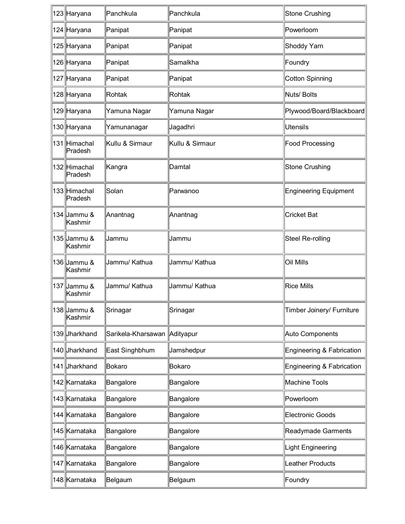| 123 Haryana             | Panchkula                      | Panchkula       | Stone Crushing               |
|-------------------------|--------------------------------|-----------------|------------------------------|
| 124 Haryana             | Panipat                        | Panipat         | Powerloom                    |
| 125 Haryana             | Panipat                        | Panipat         | Shoddy Yarn                  |
| 126 Haryana             | Panipat                        | Samalkha        | Foundry                      |
| 127 Haryana             | Panipat                        | Panipat         | Cotton Spinning              |
| 128 Haryana             | Rohtak                         | Rohtak          | Nuts/ Bolts                  |
| 129 Haryana             | Yamuna Nagar                   | Yamuna Nagar    | Plywood/Board/Blackboard     |
| 130 Haryana             | Yamunanagar                    | Jagadhri        | Utensils                     |
| 131 Himachal<br>Pradesh | Kullu & Sirmaur                | Kullu & Sirmaur | Food Processing              |
| 132 Himachal<br>Pradesh | Kangra                         | Damtal          | Stone Crushing               |
| 133 Himachal<br>Pradesh | Solan                          | Parwanoo        | <b>Engineering Equipment</b> |
| 134 Jammu &<br>Kashmir  | Anantnag                       | Anantnag        | <b>Cricket Bat</b>           |
| 135 Jammu &<br>Kashmir  | Jammu                          | Jammu           | Steel Re-rolling             |
| 136 Jammu &<br>Kashmir  | Jammu/ Kathua                  | Jammu/ Kathua   | Oil Mills                    |
| 137 Jammu &<br>Kashmir  | Jammu/ Kathua                  | Jammu/ Kathua   | <b>Rice Mills</b>            |
| 138 Jammu &<br>Kashmir  | Srinagar                       | Srinagar        | Timber Joinery/ Furniture    |
| 139 Jharkhand           | Sarikela-Kharsawan   Adityapur |                 | Auto Components              |
| 140 Jharkhand           | East Singhbhum                 | Jamshedpur      | Engineering & Fabrication    |
| 141 Jharkhand           | Bokaro                         | Bokaro          | Engineering & Fabrication    |
| 142 Karnataka           | Bangalore                      | Bangalore       | Machine Tools                |
| 143 Karnataka           | Bangalore                      | Bangalore       | Powerloom                    |
| 144 Karnataka           | Bangalore                      | Bangalore       | <b>Electronic Goods</b>      |
| 145 Karnataka           | Bangalore                      | Bangalore       | Readymade Garments           |
| 146 Karnataka           | Bangalore                      | Bangalore       | Light Engineering            |
| 147 Karnataka           | Bangalore                      | Bangalore       | Leather Products             |
| 148 Karnataka           | Belgaum                        | Belgaum         | Foundry                      |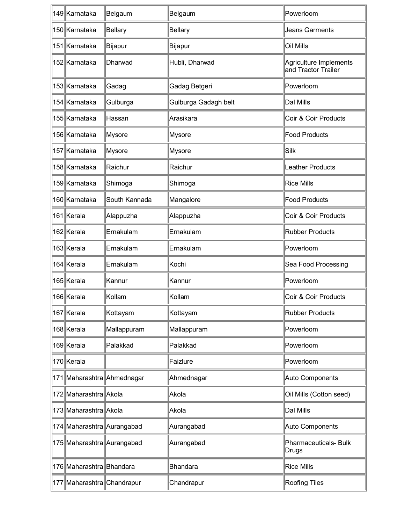| 149 Karnataka              | Belgaum                    | Belgaum              | Powerloom                                     |
|----------------------------|----------------------------|----------------------|-----------------------------------------------|
| 150 Karnataka              | Bellary                    | <b>Bellary</b>       | Jeans Garments                                |
| 151 Karnataka              | Bijapur                    | Bijapur              | Oil Mills                                     |
| 152 Karnataka              | Dharwad                    | Hubli, Dharwad       | Agriculture Implements<br>and Tractor Trailer |
| 153 Karnataka              | Gadag                      | Gadag Betgeri        | Powerloom                                     |
| 154 Karnataka              | Gulburga                   | Gulburga Gadagh belt | Dal Mills                                     |
| 155 Karnataka              | Hassan                     | Arasikara            | Coir & Coir Products                          |
| 156 Karnataka              | Mysore                     | <b>Mysore</b>        | Food Products                                 |
| 157 Karnataka              | Mysore                     | Mysore               | $\mathsf{Siik}$                               |
| 158 Karnataka              | Raichur                    | Raichur              | Leather Products                              |
| 159 Karnataka              | Shimoga                    | Shimoga              | <b>Rice Mills</b>                             |
| 160 Karnataka              | South Kannada              | Mangalore            | <b>Food Products</b>                          |
| 161 Kerala                 | Alappuzha                  | Alappuzha            | Coir & Coir Products                          |
| 162 Kerala                 | Ernakulam                  | Ernakulam            | <b>Rubber Products</b>                        |
| 163 Kerala                 | Ernakulam                  | Ernakulam            | Powerloom                                     |
| 164 Kerala                 | Ernakulam                  | Kochi                | Sea Food Processing                           |
| 165 Kerala                 | Kannur                     | Kannur               | Powerloom                                     |
| 166 Kerala                 | Kollam                     | Kollam               | Coir & Coir Products                          |
| 167 Kerala                 | Kottayam                   | Kottayam             | Rubber Products                               |
| 168 Kerala                 | Mallappuram                | Mallappuram          | Powerloom                                     |
| 169 Kerala                 | Palakkad                   | Palakkad             | Powerloom                                     |
| 170 Kerala                 |                            | Faizlure             | Powerloom                                     |
|                            | 171 Maharashtra Ahmednagar | Ahmednagar           | Auto Components                               |
| 172 Maharashtra Akola      |                            | Akola                | Oil Mills (Cotton seed)                       |
| 173 Maharashtra Akola      |                            | Akola                | Dal Mills                                     |
| 174 Maharashtra Aurangabad |                            | Aurangabad           | Auto Components                               |
| 175 Maharashtra Aurangabad |                            | Aurangabad           | Pharmaceuticals- Bulk<br>Drugs                |
| 176 Maharashtra Bhandara   |                            | <b>Bhandara</b>      | <b>Rice Mills</b>                             |
| 177 Maharashtra Chandrapur |                            | Chandrapur           | Roofing Tiles                                 |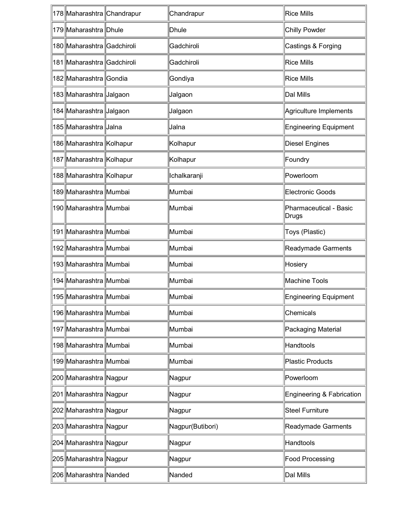| 178 Maharashtra Chandrapur | Chandrapur       | <b>Rice Mills</b>               |
|----------------------------|------------------|---------------------------------|
| 179 Maharashtra Dhule      | Dhule            | Chilly Powder                   |
| 180 Maharashtra Gadchiroli | Gadchiroli       | Castings & Forging              |
| 181 Maharashtra Gadchiroli | Gadchiroli       | <b>Rice Mills</b>               |
| 182 Maharashtra Gondia     | Gondiya          | Rice Mills                      |
| 183 Maharashtra Jalgaon    | Jalgaon          | Dal Mills                       |
| 184 Maharashtra Jalgaon    | Jalgaon          | Agriculture Implements          |
| 185 Maharashtra Jalna      | Jalna            | Engineering Equipment           |
| 186 Maharashtra Kolhapur   | Kolhapur         | Diesel Engines                  |
| 187 Maharashtra Kolhapur   | Kolhapur         | Foundry                         |
| 188 Maharashtra Kolhapur   | Ichalkaranji     | Powerloom                       |
| 189 Maharashtra Mumbai     | Mumbai           | Electronic Goods                |
| 190 Maharashtra Mumbai     | Mumbai           | Pharmaceutical - Basic<br>Drugs |
| 191 Maharashtra Mumbai     | Mumbai           | Toys (Plastic)                  |
| 192 Maharashtra Mumbai     | Mumbai           | Readymade Garments              |
| 193 Maharashtra Mumbai     | Mumbai           | Hosiery                         |
| 194 Maharashtra Mumbai     | Mumbai           | Machine Tools                   |
| ∥195 Maharashtra Mumbai    | Mumbai           | Engineering Equipment           |
| 196 Maharashtra Mumbai     | Mumbai           | Chemicals                       |
| 197 Maharashtra Mumbai     | Mumbai           | Packaging Material              |
| 198 Maharashtra Mumbai     | Mumbai           | Handtools                       |
| 199 Maharashtra Mumbai     | Mumbai           | Plastic Products                |
| 200 Maharashtra Nagpur     | Nagpur           | Powerloom                       |
| 201 Maharashtra Nagpur     | Nagpur           | Engineering & Fabrication       |
| 202 Maharashtra Nagpur     | Nagpur           | <b>Steel Furniture</b>          |
| 203 Maharashtra Nagpur     | Nagpur(Butibori) | Readymade Garments              |
| 204 Maharashtra Nagpur     | Nagpur           | Handtools                       |
| 205 Maharashtra Nagpur     | Nagpur           | Food Processing                 |
| 206 Maharashtra Nanded     | Nanded           | Dal Mills                       |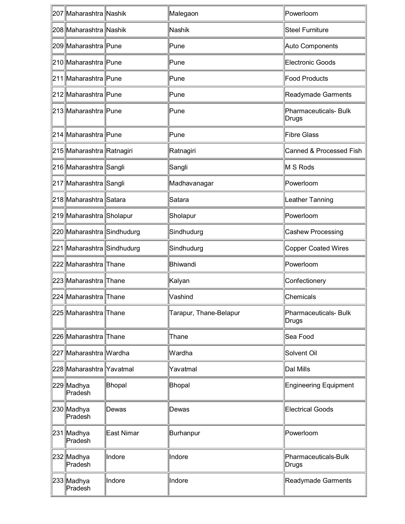| 207 Maharashtra Nashik     |            | Malegaon               | Powerloom                      |
|----------------------------|------------|------------------------|--------------------------------|
| 208 Maharashtra Nashik     |            | Nashik                 | Steel Furniture                |
| 209 Maharashtra Pune       |            | Pune                   | Auto Components                |
| 210 Maharashtra Pune       |            | Pune                   | Electronic Goods               |
| 211 Maharashtra Pune       |            | Pune                   | Food Products                  |
| 212 Maharashtra Pune       |            | Pune                   | Readymade Garments             |
| 213 Maharashtra Pune       |            | Pune                   | Pharmaceuticals- Bulk<br>Drugs |
| 214 Maharashtra Pune       |            | Pune                   | <b>Fibre Glass</b>             |
| 215 Maharashtra Ratnagiri  |            | Ratnagiri              | Canned & Processed Fish        |
| 216 Maharashtra Sangli     |            | Sangli                 | M S Rods                       |
| 217 Maharashtra Sangli     |            | Madhavanagar           | Powerloom                      |
| 218 Maharashtra Satara     |            | Satara                 | Leather Tanning                |
| 219 Maharashtra Sholapur   |            | Sholapur               | Powerloom                      |
| 220 Maharashtra Sindhudurg |            | Sindhudurg             | Cashew Processing              |
| 221 Maharashtra Sindhudurg |            | Sindhudurg             | Copper Coated Wires            |
| 222 Maharashtra Thane      |            | Bhiwandi               | Powerloom                      |
| 223 Maharashtra Thane      |            | Kalyan                 | Confectionery                  |
| 224 Maharashtra Thane      |            | Vashind                | Chemicals                      |
| 225 Maharashtra Thane      |            | Tarapur, Thane-Belapur | Pharmaceuticals- Bulk<br>Drugs |
| 226 Maharashtra Thane      |            | Thane                  | Sea Food                       |
| 227 Maharashtra Wardha     |            | Wardha                 | Solvent Oil                    |
| 228 Maharashtra Yavatmal   |            | Yavatmal               | Dal Mills                      |
| 229 Madhya<br>Pradesh      | Bhopal     | Bhopal                 | <b>Engineering Equipment</b>   |
| 230 Madhya<br>Pradesh      | Dewas      | Dewas                  | <b>Electrical Goods</b>        |
| 231 Madhya<br>Pradesh      | East Nimar | Burhanpur              | Powerloom                      |
| 232 Madhya<br>Pradesh      | Indore     | Indore                 | Pharmaceuticals-Bulk<br>Drugs  |
| 233 Madhya<br>Pradesh      | Indore     | Indore                 | Readymade Garments             |
|                            |            |                        |                                |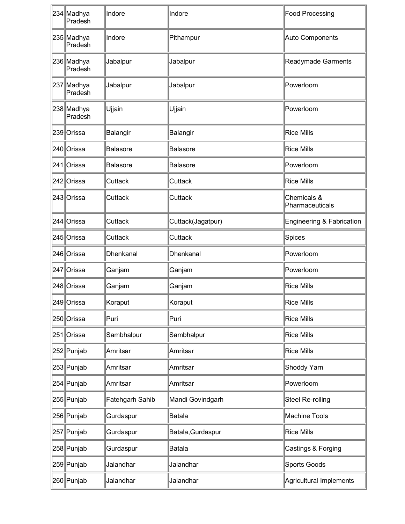| 234 Madhya<br>Pradesh | Indore          | Indore            | Food Processing                |
|-----------------------|-----------------|-------------------|--------------------------------|
| 235 Madhya<br>Pradesh | Indore          | Pithampur         | Auto Components                |
| 236 Madhya<br>Pradesh | Jabalpur        | Jabalpur          | Readymade Garments             |
| 237 Madhya<br>Pradesh | Jabalpur        | Jabalpur          | Powerloom                      |
| 238 Madhya<br>Pradesh | Ujjain          | Ujjain            | Powerloom                      |
| 239 Orissa            | Balangir        | Balangir          | Rice Mills                     |
| 240 Orissa            | Balasore        | <b>Balasore</b>   | Rice Mills                     |
| 241 Orissa            | Balasore        | Balasore          | Powerloom                      |
| 242 Orissa            | Cuttack         | Cuttack           | Rice Mills                     |
| 243 Orissa            | Cuttack         | Cuttack           | Chemicals &<br>Pharmaceuticals |
| 244 Orissa            | Cuttack         | Cuttack(Jagatpur) | Engineering & Fabrication      |
| 245 Orissa            | Cuttack         | Cuttack           | Spices                         |
| 246 Orissa            | Dhenkanal       | Dhenkanal         | Powerloom                      |
| 247 Orissa            | Ganjam          | Ganjam            | Powerloom                      |
| 248 Orissa            | Ganjam          | Ganjam            | <b>Rice Mills</b>              |
| 249 Orissa            | Koraput         | Koraput           | Rice Mills                     |
| 250 Orissa            | Puri            | Puri              | Rice Mills                     |
| 251 Orissa            | Sambhalpur      | Sambhalpur        | Rice Mills                     |
| 252 Punjab            | Amritsar        | Amritsar          | Rice Mills                     |
| 253 Punjab            | Amritsar        | Amritsar          | Shoddy Yarn                    |
| 254 Punjab            | Amritsar        | Amritsar          | Powerloom                      |
| 255 Punjab            | Fatehgarh Sahib | Mandi Govindgarh  | Steel Re-rolling               |
| 256 Punjab            | Gurdaspur       | <b>Batala</b>     | Machine Tools                  |
| 257 Punjab            | Gurdaspur       | Batala, Gurdaspur | Rice Mills                     |
| 258 Punjab            | Gurdaspur       | <b>Batala</b>     | Castings & Forging             |
| 259 Punjab            | Jalandhar       | Jalandhar         | Sports Goods                   |
| 260 Punjab            | Jalandhar       | Jalandhar         | Agricultural Implements        |
|                       |                 |                   |                                |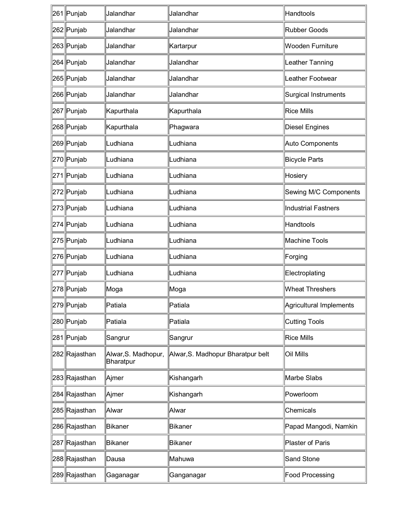| 261 Punjab    | Jalandhar                        | Jalandhar                         | Handtools               |
|---------------|----------------------------------|-----------------------------------|-------------------------|
| 262 Punjab    | Jalandhar                        | Jalandhar                         | Rubber Goods            |
| 263 Punjab    | Jalandhar                        | Kartarpur                         | Wooden Furniture        |
| 264 Punjab    | Jalandhar                        | Jalandhar                         | Leather Tanning         |
| 265 Punjab    | Jalandhar                        | Jalandhar                         | Leather Footwear        |
| 266 Punjab    | Jalandhar                        | Jalandhar                         | Surgical Instruments    |
| 267 Punjab    | Kapurthala                       | Kapurthala                        | <b>Rice Mills</b>       |
| 268 Punjab    | Kapurthala                       | Phagwara                          | <b>Diesel Engines</b>   |
| 269 Punjab    | Ludhiana                         | Ludhiana                          | Auto Components         |
| 270 Punjab    | Ludhiana                         | Ludhiana                          | <b>Bicycle Parts</b>    |
| 271 Punjab    | Ludhiana                         | Ludhiana                          | Hosiery                 |
| 272 Punjab    | Ludhiana                         | Ludhiana                          | Sewing M/C Components   |
| 273 Punjab    | Ludhiana                         | Ludhiana                          | Industrial Fastners     |
| 274 Punjab    | Ludhiana                         | Ludhiana                          | Handtools               |
| 275 Punjab    | Ludhiana                         | Ludhiana                          | Machine Tools           |
| 276 Punjab    | Ludhiana                         | Ludhiana                          | Forging                 |
| 277 Punjab    | Ludhiana                         | Ludhiana                          | Electroplating          |
| 278 Punjab    | Moga                             | Moga                              | <b>Wheat Threshers</b>  |
| 279 Punjab    | Patiala                          | Patiala                           | Agricultural Implements |
| 280 Punjab    | Patiala                          | Patiala                           | Cutting Tools           |
| 281 Punjab    | Sangrur                          | Sangrur                           | <b>Rice Mills</b>       |
| 282 Rajasthan | Alwar, S. Madhopur,<br>Bharatpur | Alwar, S. Madhopur Bharatpur belt | Oil Mills               |
| 283∥Rajasthan | Ajmer                            | Kishangarh                        | Marbe Slabs             |
| 284 Rajasthan | Ajmer                            | Kishangarh                        | Powerloom               |
| 285 Rajasthan | Alwar                            | Alwar                             | Chemicals               |
| 286 Rajasthan | <b>Bikaner</b>                   | Bikaner                           | Papad Mangodi, Namkin   |
| 287 Rajasthan | Bikaner                          | Bikaner                           | Plaster of Paris        |
| 288 Rajasthan | Dausa                            | Mahuwa                            | Sand Stone              |
| 289 Rajasthan | Gaganagar                        | Ganganagar                        | Food Processing         |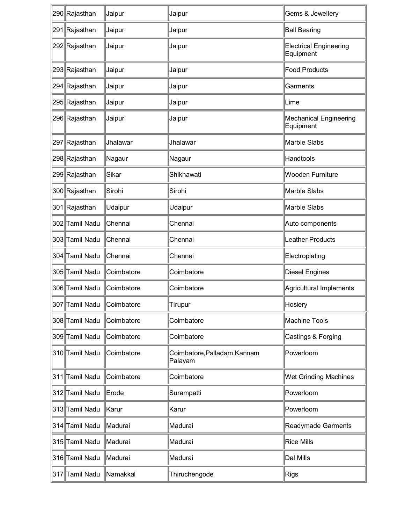| 290 Rajasthan  | Jaipur            | Jaipur                                  | Gems & Jewellery                           |
|----------------|-------------------|-----------------------------------------|--------------------------------------------|
| 291 Rajasthan  | Jaipur            | Jaipur                                  | <b>Ball Bearing</b>                        |
| 292 Rajasthan  | Jaipur            | Jaipur                                  | <b>Electrical Engineering</b><br>Equipment |
| 293 Rajasthan  | Jaipur            | Jaipur                                  | Food Products                              |
| 294 Rajasthan  | Jaipur            | Jaipur                                  | Garments                                   |
| 295 Rajasthan  | Jaipur            | Jaipur                                  | Lime                                       |
| 296 Rajasthan  | Jaipur            | Jaipur                                  | <b>Mechanical Engineering</b><br>Equipment |
| 297 Rajasthan  | Jhalawar          | Jhalawar                                | Marble Slabs                               |
| 298 Rajasthan  | Nagaur            | Nagaur                                  | Handtools                                  |
| 299∥Rajasthan  | Sikar             | Shikhawati                              | <b>Wooden Furniture</b>                    |
| 300 Rajasthan  | Sirohi            | Sirohi                                  | Marble Slabs                               |
| 301 Rajasthan  | Udaipur           | <b>Udaipur</b>                          | Marble Slabs                               |
| 302 Tamil Nadu | Chennai           | Chennai                                 | Auto components                            |
| 303 Tamil Nadu | Chennai           | Chennai                                 | Leather Products                           |
| 304 Tamil Nadu | Chennai           | Chennai                                 | Electroplating                             |
| 305 Tamil Nadu | Coimbatore        | Coimbatore                              | Diesel Engines                             |
| 306 Tamil Nadu | Coimbatore        | Coimbatore                              | Agricultural Implements                    |
| 307 Tamil Nadu | <b>Coimbatore</b> | Tirupur                                 | Hosiery                                    |
| 308 Tamil Nadu | Coimbatore        | Coimbatore                              | <b>Machine Tools</b>                       |
| 309 Tamil Nadu | Coimbatore        | Coimbatore                              | Castings & Forging                         |
| 310 Tamil Nadu | Coimbatore        | Coimbatore, Palladam, Kannam<br>Palayam | Powerloom                                  |
| 311 Tamil Nadu | Coimbatore        | Coimbatore                              | <b>Wet Grinding Machines</b>               |
| 312 Tamil Nadu | Erode             | Surampatti                              | Powerloom                                  |
| 313 Tamil Nadu | Karur             | Karur                                   | Powerloom                                  |
| 314 Tamil Nadu | Madurai           | Madurai                                 | Readymade Garments                         |
| 315 Tamil Nadu | Madurai           | Madurai                                 | <b>Rice Mills</b>                          |
| 316 Tamil Nadu | Madurai           | Madurai                                 | Dal Mills                                  |
| 317 Tamil Nadu | <b>Namakkal</b>   | Thiruchengode                           | Rigs                                       |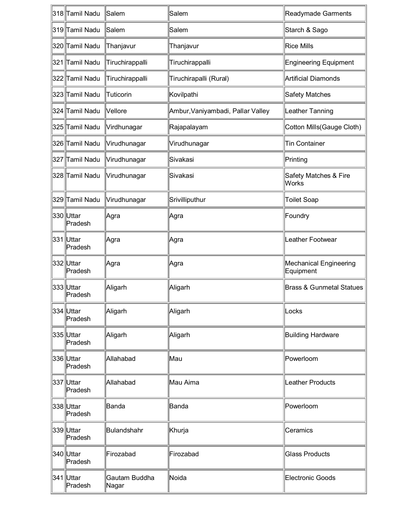| 318 Tamil Nadu       | Salem                  | Salem                             | Readymade Garments                  |
|----------------------|------------------------|-----------------------------------|-------------------------------------|
| 319 Tamil Nadu       | Salem                  | Salem                             | Starch & Sago                       |
| l320llTamil Nadu     | Thanjavur              | Thanjavur                         | Rice Mills                          |
| 321 Tamil Nadu       | Tiruchirappalli        | Tiruchirappalli                   | <b>Engineering Equipment</b>        |
| 322 Tamil Nadu       | Tiruchirappalli        | Tiruchirapalli (Rural)            | <b>Artificial Diamonds</b>          |
| 323 Tamil Nadu       | Tuticorin              | Kovilpathi                        | Safety Matches                      |
| 324 Tamil Nadu       | Vellore                | Ambur, Vaniyambadi, Pallar Valley | Leather Tanning                     |
| 325 Tamil Nadu       | Virdhunagar            | Rajapalayam                       | Cotton Mills(Gauge Cloth)           |
| 326 Tamil Nadu       | Virudhunagar           | Virudhunagar                      | Tin Container                       |
| 327 Tamil Nadu       | Virudhunagar           | Sivakasi                          | Printing                            |
| 328 Tamil Nadu       | Virudhunagar           | Sivakasi                          | Safety Matches & Fire<br>Works      |
| 329 Tamil Nadu       | Virudhunagar           | Srivilliputhur                    | <b>Toilet Soap</b>                  |
| 330 Uttar<br>Pradesh | ∣Agra                  | ∣Agra                             | Foundry                             |
| 331 Uttar<br>Pradesh | ∣Agra                  | ∣Agra                             | Leather Footwear                    |
| 332 Uttar<br>Pradesh | ∣Agra                  | ∣Agra                             | Mechanical Engineering<br>Equipment |
| 333 Uttar<br>Pradesh | Aligarh                | Aligarh                           | <b>Brass &amp; Gunmetal Statues</b> |
| 334 Uttar<br>Pradesh | Aligarh                | Aligarh                           | Locks                               |
| 335 Uttar<br>Pradesh | Aligarh                | Aligarh                           | <b>Building Hardware</b>            |
| 336 Uttar<br>Pradesh | Allahabad              | Mau                               | Powerloom                           |
| 337 Uttar<br>Pradesh | Allahabad              | Mau Aima                          | Leather Products                    |
| 338 Uttar<br>Pradesh | Banda                  | Banda                             | Powerloom                           |
| 339 Uttar<br>Pradesh | Bulandshahr            | Khurja                            | Ceramics                            |
| 340 Uttar<br>Pradesh | Firozabad              | Firozabad                         | <b>Glass Products</b>               |
| 341 Uttar<br>Pradesh | Gautam Buddha<br>Nagar | Noida                             | Electronic Goods                    |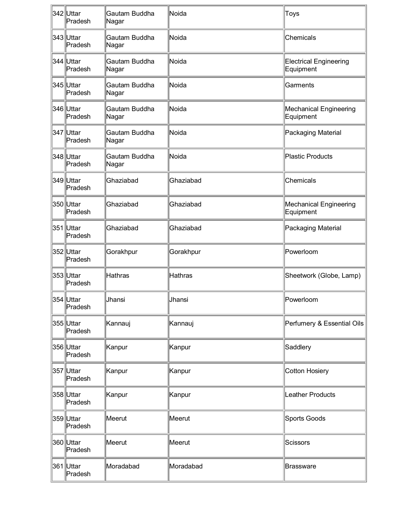| 342 Uttar<br>Pradesh  | Gautam Buddha<br>Nagar | Noida          | Toys                                |
|-----------------------|------------------------|----------------|-------------------------------------|
| 343 Uttar<br>Pradesh  | Gautam Buddha<br>Nagar | Noida          | Chemicals                           |
| 344 Uttar<br>Pradesh  | Gautam Buddha<br>Nagar | Noida          | Electrical Engineering<br>Equipment |
| 345 Uttar<br>Pradesh  | Gautam Buddha<br>Nagar | Noida          | Garments                            |
| 346 Uttar<br>Pradesh  | Gautam Buddha<br>Nagar | Noida          | Mechanical Engineering<br>Equipment |
| 347 Uttar<br>Pradesh  | Gautam Buddha<br>Nagar | Noida          | Packaging Material                  |
| 348 Uttar<br>Pradesh  | Gautam Buddha<br>Nagar | Noida          | Plastic Products                    |
| 349 Uttar<br>Pradesh  | Ghaziabad              | Ghaziabad      | Chemicals                           |
| 350 Uttar<br>Pradesh  | Ghaziabad              | Ghaziabad      | Mechanical Engineering<br>Equipment |
| 351 Uttar<br>Pradesh  | Ghaziabad              | Ghaziabad      | Packaging Material                  |
| 352 Uttar<br>Pradesh  | Gorakhpur              | Gorakhpur      | Powerloom                           |
| l353∥Uttar<br>Pradesh | Hathras                | <b>Hathras</b> | Sheetwork (Globe, Lamp)             |
| 354 Uttar<br>Pradesh  | Jhansi                 | Jhansi         | Powerloom                           |
| 355 Uttar<br>Pradesh  | Kannauj                | Kannauj        | Perfumery & Essential Oils          |
| 356 Uttar<br>Pradesh  | Kanpur                 | Kanpur         | Saddlery                            |
| 357 Uttar<br>Pradesh  | Kanpur                 | Kanpur         | Cotton Hosiery                      |
| 358 Uttar<br>Pradesh  | Kanpur                 | Kanpur         | Leather Products                    |
| 359 Uttar<br>Pradesh  | Meerut                 | Meerut         | Sports Goods                        |
| 360 Uttar<br>Pradesh  | Meerut                 | Meerut         | Scissors                            |
| 361 Uttar<br>Pradesh  | Moradabad              | Moradabad      | Brassware                           |
|                       |                        |                |                                     |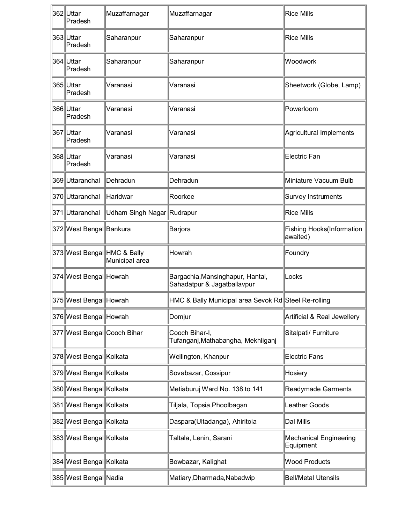| 362 Uttar<br>Pradesh        | Muzaffarnagar              | Muzaffarnagar                                                   | Rice Mills                            |  |
|-----------------------------|----------------------------|-----------------------------------------------------------------|---------------------------------------|--|
| 363 Uttar<br>Pradesh        | Saharanpur                 | Saharanpur                                                      | Rice Mills                            |  |
| 364 Uttar<br>Pradesh        | Saharanpur                 | Saharanpur                                                      | Woodwork                              |  |
| 365 Uttar<br>Pradesh        | Varanasi                   | Varanasi                                                        | Sheetwork (Globe, Lamp)               |  |
| 366 Uttar<br>Pradesh        | Varanasi                   | Varanasi                                                        | Powerloom                             |  |
| 367 Uttar<br>Pradesh        | Varanasi                   | Varanasi                                                        | Agricultural Implements               |  |
| 368 Uttar<br>Pradesh        | Varanasi                   | Varanasi                                                        | Electric Fan                          |  |
| 369 Uttaranchal             | Dehradun                   | Dehradun                                                        | Miniature Vacuum Bulb                 |  |
| 370 Uttaranchal             | Haridwar                   | Roorkee                                                         | Survey Instruments                    |  |
| 371 Uttaranchal             | Udham Singh Nagar Rudrapur |                                                                 | Rice Mills                            |  |
| 372 West Bengal Bankura     |                            | Barjora                                                         | Fishing Hooks(Information<br>awaited) |  |
| 373 West Bengal HMC & Bally | Municipal area             | Howrah                                                          | Foundry                               |  |
| 374 West Bengal Howrah      |                            | Bargachia, Mansinghapur, Hantal,<br>Sahadatpur & Jagatballavpur | Locks                                 |  |
| 375∥West Bengal∥Howrah      |                            | HMC & Bally Municipal area Sevok Rd Steel Re-rolling            |                                       |  |
| 376 West Bengal Howrah      |                            | Domjur                                                          | Artificial & Real Jewellery           |  |
| 377 West Bengal Cooch Bihar |                            | Cooch Bihar-I,<br>Tufanganj, Mathabangha, Mekhliganj            | Sitalpati/ Furniture                  |  |
| 378 West Bengal Kolkata     |                            | Wellington, Khanpur                                             | Electric Fans                         |  |
| 379 West Bengal Kolkata     |                            | Sovabazar, Cossipur                                             | Hosiery                               |  |
| 380 West Bengal Kolkata     |                            | Metiaburuj Ward No. 138 to 141                                  | Readymade Garments                    |  |
| 381 West Bengal Kolkata     |                            | Tiljala, Topsia, Phoolbagan                                     | Leather Goods                         |  |
| 382 West Bengal Kolkata     |                            | Daspara(Ultadanga), Ahiritola                                   | Dal Mills                             |  |
| 383 West Bengal Kolkata     |                            | Taltala, Lenin, Sarani                                          | Mechanical Engineering<br>Equipment   |  |
| 384 West Bengal Kolkata     |                            | Bowbazar, Kalighat                                              | <b>Wood Products</b>                  |  |
| 385 West Bengal Nadia       |                            | Matiary, Dharmada, Nabadwip                                     | <b>Bell/Metal Utensils</b>            |  |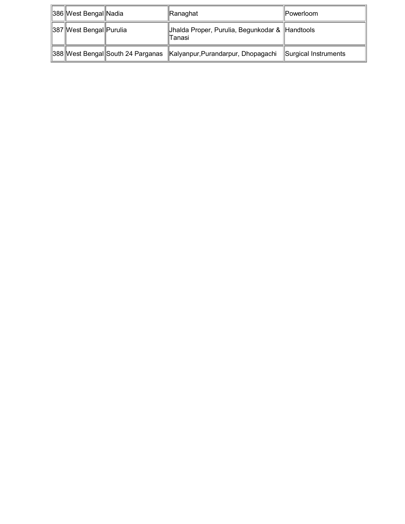| 386 West Bengal Nadia   |                                   | Ranaghat                                                 | <b>IPowerloom</b>    |
|-------------------------|-----------------------------------|----------------------------------------------------------|----------------------|
| 387 West Bengal Purulia |                                   | Jhalda Proper, Purulia, Begunkodar & Handtools<br>Tanasi |                      |
|                         | 388 West Bengal South 24 Parganas | Kalyanpur, Purandarpur, Dhopagachi                       | Surgical Instruments |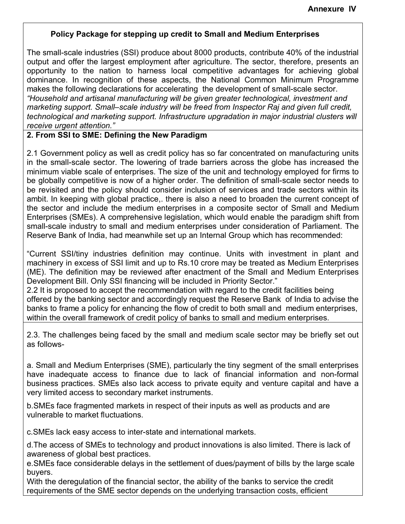### **Policy Package for stepping up credit to Small and Medium Enterprises**

The small-scale industries (SSI) produce about 8000 products, contribute 40% of the industrial output and offer the largest employment after agriculture. The sector, therefore, presents an opportunity to the nation to harness local competitive advantages for achieving global dominance. In recognition of these aspects, the National Common Minimum Programme makes the following declarations for accelerating the development of small-scale sector. *"Household and artisanal manufacturing will be given greater technological, investment and marketing support. Small–scale industry will be freed from Inspector Raj and given full credit, technological and marketing support. Infrastructure upgradation in major industrial clusters will receive urgent attention."*

#### **2. From SSI to SME: Defining the New Paradigm**

2.1 Government policy as well as credit policy has so far concentrated on manufacturing units in the small-scale sector. The lowering of trade barriers across the globe has increased the minimum viable scale of enterprises. The size of the unit and technology employed for firms to be globally competitive is now of a higher order. The definition of small-scale sector needs to be revisited and the policy should consider inclusion of services and trade sectors within its ambit. In keeping with global practice,. there is also a need to broaden the current concept of the sector and include the medium enterprises in a composite sector of Small and Medium Enterprises (SMEs). A comprehensive legislation, which would enable the paradigm shift from small-scale industry to small and medium enterprises under consideration of Parliament. The Reserve Bank of India, had meanwhile set up an Internal Group which has recommended:

"Current SSI/tiny industries definition may continue. Units with investment in plant and machinery in excess of SSI limit and up to Rs.10 crore may be treated as Medium Enterprises (ME). The definition may be reviewed after enactment of the Small and Medium Enterprises Development Bill. Only SSI financing will be included in Priority Sector."

2.2 It is proposed to accept the recommendation with regard to the credit facilities being offered by the banking sector and accordingly request the Reserve Bank of India to advise the banks to frame a policy for enhancing the flow of credit to both small and medium enterprises, within the overall framework of credit policy of banks to small and medium enterprises.

2.3. The challenges being faced by the small and medium scale sector may be briefly set out as follows-

a. Small and Medium Enterprises (SME), particularly the tiny segment of the small enterprises have inadequate access to finance due to lack of financial information and non-formal business practices. SMEs also lack access to private equity and venture capital and have a very limited access to secondary market instruments.

b.SMEs face fragmented markets in respect of their inputs as well as products and are vulnerable to market fluctuations.

c.SMEs lack easy access to inter-state and international markets.

d.The access of SMEs to technology and product innovations is also limited. There is lack of awareness of global best practices.

e.SMEs face considerable delays in the settlement of dues/payment of bills by the large scale buyers.

With the deregulation of the financial sector, the ability of the banks to service the credit requirements of the SME sector depends on the underlying transaction costs, efficient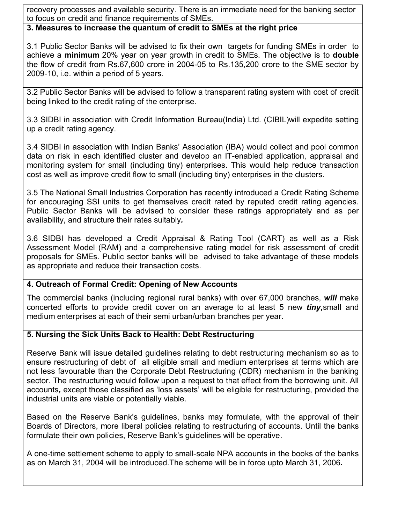recovery processes and available security. There is an immediate need for the banking sector to focus on credit and finance requirements of SMEs.

#### **3. Measures to increase the quantum of credit to SMEs at the right price**

3.1 Public Sector Banks will be advised to fix their own targets for funding SMEs in order to achieve a **minimum** 20% year on year growth in credit to SMEs. The objective is to **double** the flow of credit from Rs.67,600 crore in 2004-05 to Rs.135,200 crore to the SME sector by 2009-10, i.e. within a period of 5 years.

3.2 Public Sector Banks will be advised to follow a transparent rating system with cost of credit being linked to the credit rating of the enterprise.

3.3 SIDBI in association with Credit Information Bureau(India) Ltd. (CIBIL)will expedite setting up a credit rating agency.

3.4 SIDBI in association with Indian Banks' Association (IBA) would collect and pool common data on risk in each identified cluster and develop an IT-enabled application, appraisal and monitoring system for small (including tiny) enterprises. This would help reduce transaction cost as well as improve credit flow to small (including tiny) enterprises in the clusters.

3.5 The National Small Industries Corporation has recently introduced a Credit Rating Scheme for encouraging SSI units to get themselves credit rated by reputed credit rating agencies. Public Sector Banks will be advised to consider these ratings appropriately and as per availability, and structure their rates suitably*.*

3.6 SIDBI has developed a Credit Appraisal & Rating Tool (CART) as well as a Risk Assessment Model (RAM) and a comprehensive rating model for risk assessment of credit proposals for SMEs. Public sector banks will be advised to take advantage of these models as appropriate and reduce their transaction costs.

### **4. Outreach of Formal Credit: Opening of New Accounts**

The commercial banks (including regional rural banks) with over 67,000 branches, *will* make concerted efforts to provide credit cover on an average to at least 5 new *tiny,*small and medium enterprises at each of their semi urban/urban branches per year.

### **5. Nursing the Sick Units Back to Health: Debt Restructuring**

Reserve Bank will issue detailed guidelines relating to debt restructuring mechanism so as to ensure restructuring of debt of all eligible small and medium enterprises at terms which are not less favourable than the Corporate Debt Restructuring (CDR) mechanism in the banking sector. The restructuring would follow upon a request to that effect from the borrowing unit. All accounts*,* except those classified as 'loss assets' will be eligible for restructuring, provided the industrial units are viable or potentially viable.

Based on the Reserve Bank's guidelines, banks may formulate, with the approval of their Boards of Directors, more liberal policies relating to restructuring of accounts. Until the banks formulate their own policies, Reserve Bank's guidelines will be operative.

A one-time settlement scheme to apply to small-scale NPA accounts in the books of the banks as on March 31, 2004 will be introduced.The scheme will be in force upto March 31, 2006*.*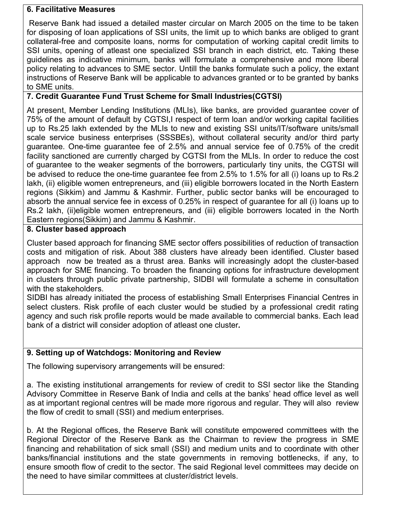#### **6. Facilitative Measures**

 Reserve Bank had issued a detailed master circular on March 2005 on the time to be taken for disposing of loan applications of SSI units, the limit up to which banks are obliged to grant collateral-free and composite loans, norms for computation of working capital credit limits to SSI units, opening of atleast one specialized SSI branch in each district, etc. Taking these guidelines as indicative minimum, banks will formulate a comprehensive and more liberal policy relating to advances to SME sector. Untill the banks formulate such a policy, the extant instructions of Reserve Bank will be applicable to advances granted or to be granted by banks to SME units.

## **7. Credit Guarantee Fund Trust Scheme for Small Industries(CGTSI)**

At present, Member Lending Institutions (MLIs), like banks, are provided guarantee cover of 75% of the amount of default by CGTSI,I respect of term loan and/or working capital facilities up to Rs.25 lakh extended by the MLIs to new and existing SSI units/IT/software units/small scale service business enterprises (SSSBEs), without collateral security and/or third party guarantee. One-time guarantee fee of 2.5% and annual service fee of 0.75% of the credit facility sanctioned are currently charged by CGTSI from the MLIs. In order to reduce the cost of guarantee to the weaker segments of the borrowers, particularly tiny units, the CGTSI will be advised to reduce the one-time guarantee fee from 2.5% to 1.5% for all (i) loans up to Rs.2 lakh, (ii) eligible women entrepreneurs, and (iii) eligible borrowers located in the North Eastern regions (Sikkim) and Jammu & Kashmir. Further, public sector banks will be encouraged to absorb the annual service fee in excess of 0.25% in respect of guarantee for all (i) loans up to Rs.2 lakh, (ii)eligible women entrepreneurs, and (iii) eligible borrowers located in the North Eastern regions(Sikkim) and Jammu & Kashmir.

#### **8. Cluster based approach**

Cluster based approach for financing SME sector offers possibilities of reduction of transaction costs and mitigation of risk. About 388 clusters have already been identified. Cluster based approach now be treated as a thrust area. Banks will increasingly adopt the cluster-based approach for SME financing. To broaden the financing options for infrastructure development in clusters through public private partnership, SIDBI will formulate a scheme in consultation with the stakeholders.

SIDBI has already initiated the process of establishing Small Enterprises Financial Centres in select clusters. Risk profile of each cluster would be studied by a professional credit rating agency and such risk profile reports would be made available to commercial banks. Each lead bank of a district will consider adoption of atleast one cluster*.*

### **9. Setting up of Watchdogs: Monitoring and Review**

The following supervisory arrangements will be ensured:

a. The existing institutional arrangements for review of credit to SSI sector like the Standing Advisory Committee in Reserve Bank of India and cells at the banks' head office level as well as at important regional centres will be made more rigorous and regular. They will also review the flow of credit to small (SSI) and medium enterprises.

b. At the Regional offices, the Reserve Bank will constitute empowered committees with the Regional Director of the Reserve Bank as the Chairman to review the progress in SME financing and rehabilitation of sick small (SSI) and medium units and to coordinate with other banks/financial institutions and the state governments in removing bottlenecks, if any, to ensure smooth flow of credit to the sector. The said Regional level committees may decide on the need to have similar committees at cluster/district levels.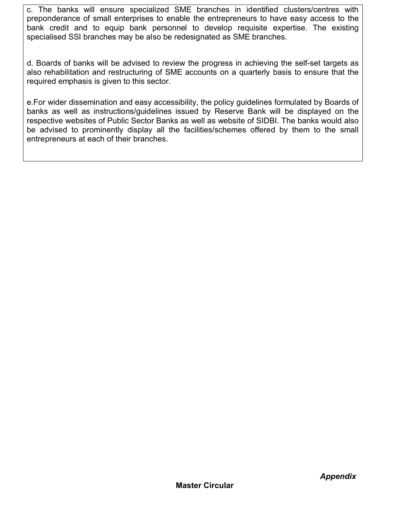c. The banks will ensure specialized SME branches in identified clusters/centres with preponderance of small enterprises to enable the entrepreneurs to have easy access to the bank credit and to equip bank personnel to develop requisite expertise. The existing specialised SSI branches may be also be redesignated as SME branches.

d. Boards of banks will be advised to review the progress in achieving the self-set targets as also rehabilitation and restructuring of SME accounts on a quarterly basis to ensure that the required emphasis is given to this sector.

e.For wider dissemination and easy accessibility, the policy guidelines formulated by Boards of banks as well as instructions/guidelines issued by Reserve Bank will be displayed on the respective websites of Public Sector Banks as well as website of SIDBI. The banks would also be advised to prominently display all the facilities/schemes offered by them to the small entrepreneurs at each of their branches.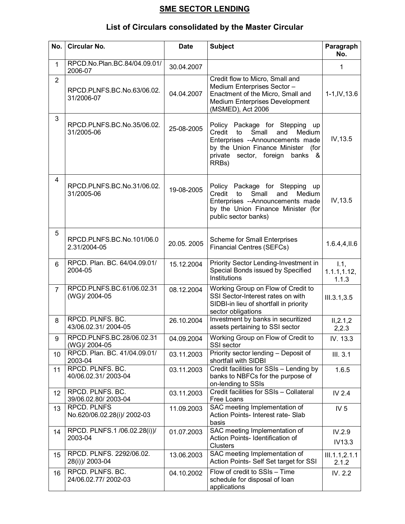# **SME SECTOR LENDING**

# **List of Circulars consolidated by the Master Circular**

| No.               | <b>Circular No.</b>                               | <b>Date</b> | <b>Subject</b>                                                                                                                                                                                    | Paragraph<br>No.              |
|-------------------|---------------------------------------------------|-------------|---------------------------------------------------------------------------------------------------------------------------------------------------------------------------------------------------|-------------------------------|
| 1                 | RPCD.No.Plan.BC.84/04.09.01/<br>2006-07           | 30.04.2007  |                                                                                                                                                                                                   | 1                             |
| $\overline{2}$    | RPCD.PLNFS.BC.No.63/06.02.<br>31/2006-07          | 04.04.2007  | Credit flow to Micro, Small and<br>Medium Enterprises Sector -<br>Enactment of the Micro, Small and<br>Medium Enterprises Development<br>(MSMED), Act 2006                                        | $1-1$ , IV, $13.6$            |
| 3                 | RPCD.PLNFS.BC.No.35/06.02.<br>31/2005-06          | 25-08-2005  | Policy Package for Stepping up<br>Credit<br>to<br>Small<br>and<br>Medium<br>Enterprises --Announcements made<br>by the Union Finance Minister (for<br>private sector, foreign<br>banks &<br>RRBs) | IV, 13.5                      |
| 4                 | RPCD.PLNFS.BC.No.31/06.02.<br>31/2005-06          | 19-08-2005  | Policy Package for Stepping<br>up<br>Credit<br>to<br>Small<br>and<br>Medium<br>Enterprises --Announcements made<br>by the Union Finance Minister (for<br>public sector banks)                     | IV, 13.5                      |
| 5                 | RPCD.PLNFS.BC.No.101/06.0<br>2.31/2004-05         | 20.05.2005  | <b>Scheme for Small Enterprises</b><br><b>Financial Centres (SEFCs)</b>                                                                                                                           | 1.6.4, 4, 11.6                |
| 6                 | RPCD. Plan. BC. 64/04.09.01/<br>2004-05           | 15.12.2004  | Priority Sector Lending-Investment in<br>Special Bonds issued by Specified<br>Institutions                                                                                                        | 1.1,<br>1.1.1, 1.12,<br>1.1.3 |
| $\overline{7}$    | RPCD.PLNFS.BC.61/06.02.31<br>(WG)/ 2004-05        | 08.12.2004  | Working Group on Flow of Credit to<br>SSI Sector-Interest rates on with<br>SIDBI-in lieu of shortfall in priority<br>sector obligations                                                           | III.3.1,3.5                   |
| 8                 | RPCD. PLNFS. BC.<br>43/06.02.31/2004-05           | 26.10.2004  | Investment by banks in securitized<br>assets pertaining to SSI sector                                                                                                                             | II, 2.1, 2<br>2,2.3           |
| 9                 | RPCD.PLNFS.BC.28/06.02.31<br>(WG)/ 2004-05        | 04.09.2004  | Working Group on Flow of Credit to<br>SSI sector                                                                                                                                                  | IV. 13.3                      |
| 10                | RPCD. Plan. BC. 41/04.09.01/<br>2003-04           | 03.11.2003  | Priority sector lending - Deposit of<br>shortfall with SIDBI                                                                                                                                      | III.3.1                       |
| 11                | RPCD. PLNFS. BC.<br>40/06.02.31/2003-04           | 03.11.2003  | Credit facilities for SSIs - Lending by<br>banks to NBFCs for the purpose of<br>on-lending to SSIs                                                                                                | 1.6.5                         |
| $12 \overline{ }$ | RPCD. PLNFS. BC.<br>39/06.02.80/2003-04           | 03.11.2003  | Credit facilities for SSIs - Collateral<br>Free Loans                                                                                                                                             | IV 2.4                        |
| 13                | <b>RPCD. PLNFS</b><br>No.620/06.02.28(i)/ 2002-03 | 11.09.2003  | SAC meeting Implementation of<br>Action Points- Interest rate- Slab<br>basis                                                                                                                      | IV <sub>5</sub>               |
| 14                | RPCD. PLNFS.1/06.02.28(i))/<br>2003-04            | 01.07.2003  | SAC meeting Implementation of<br>Action Points- Identification of<br><b>Clusters</b>                                                                                                              | IV.2.9<br>IV13.3              |
| 15                | RPCD. PLNFS. 2292/06.02.<br>28(i))/ 2003-04       | 13.06.2003  | SAC meeting Implementation of<br>Action Points- Self Set target for SSI                                                                                                                           | III.1.1, 2.1.1<br>2.1.2       |
| 16                | RPCD. PLNFS. BC.<br>24/06.02.77/ 2002-03          | 04.10.2002  | Flow of credit to SSIs - Time<br>schedule for disposal of loan<br>applications                                                                                                                    | IV. 2.2                       |